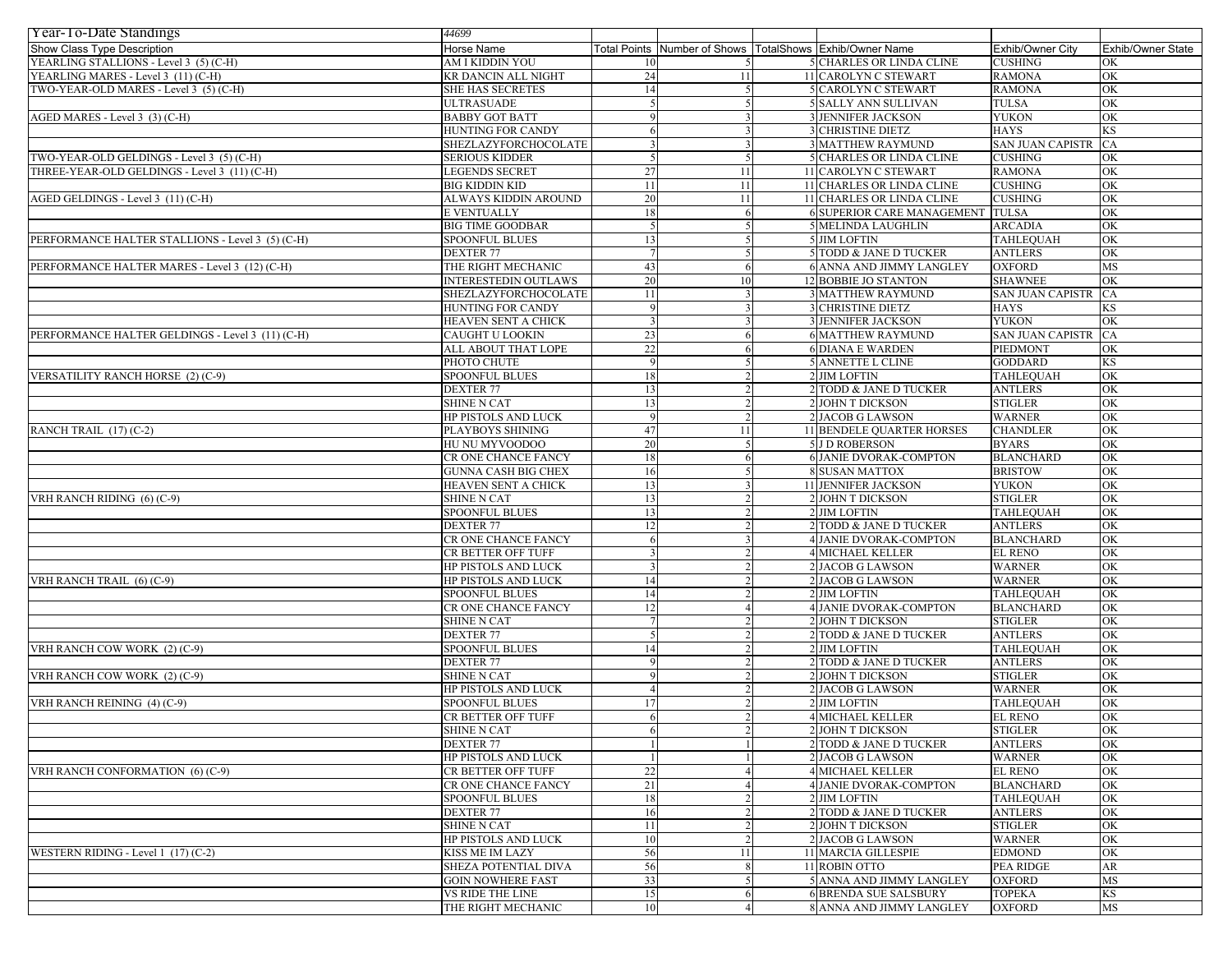| Year-To-Date Standings                           | 44699                      |        |                              |                                         |                         |                   |
|--------------------------------------------------|----------------------------|--------|------------------------------|-----------------------------------------|-------------------------|-------------------|
| Show Class Type Description                      | Horse Name                 |        | Total Points Number of Shows | TotalShows Exhib/Owner Name             | Exhib/Owner City        | Exhib/Owner State |
| YEARLING STALLIONS - Level 3 (5) (C-H)           | AM I KIDDIN YOU            | 10     |                              | <b>5 CHARLES OR LINDA CLINE</b>         | <b>CUSHING</b>          | OK                |
| YEARLING MARES - Level 3 (11) (C-H)              | KR DANCIN ALL NIGHT        | 24     | 11                           | 11 CAROLYN C STEWART                    | <b>RAMONA</b>           | OK                |
| TWO-YEAR-OLD MARES - Level 3 (5) (C-H)           | <b>SHE HAS SECRETES</b>    | 14     |                              | 5 CAROLYN C STEWART                     | <b>RAMONA</b>           | OK                |
|                                                  | ULTRASUADE                 |        |                              | 5 SALLY ANN SULLIVAN                    | <b>TULSA</b>            | OK                |
| AGED MARES - Level 3 (3) (C-H)                   | <b>BABBY GOT BATT</b>      |        |                              | <b>3 JENNIFER JACKSON</b>               | <b>YUKON</b>            | OK                |
|                                                  | HUNTING FOR CANDY          |        |                              | <b>3 CHRISTINE DIETZ</b>                | <b>HAYS</b>             | KS                |
|                                                  | SHEZLAZYFORCHOCOLATE       |        |                              | <b>3 MATTHEW RAYMUND</b>                | <b>SAN JUAN CAPISTR</b> | CA                |
| TWO-YEAR-OLD GELDINGS - Level 3 (5) (C-H)        | SERIOUS KIDDER             |        |                              | <b>5 CHARLES OR LINDA CLINE</b>         | <b>CUSHING</b>          | OK                |
| THREE-YEAR-OLD GELDINGS - Level 3 (11) (C-H)     | <b>LEGENDS SECRET</b>      | $27\,$ | 11                           | 11 CAROLYN C STEWART                    | <b>RAMONA</b>           | OK                |
|                                                  | <b>BIG KIDDIN KID</b>      | 11     | 11                           | 11 CHARLES OR LINDA CLINE               | <b>CUSHING</b>          | OK                |
| AGED GELDINGS - Level 3 (11) (C-H)               | ALWAYS KIDDIN AROUND       | 20     | 11                           | 11 CHARLES OR LINDA CLINE               | <b>CUSHING</b>          | OK                |
|                                                  | E VENTUALLY                | 18     |                              | <b>6 SUPERIOR CARE MANAGEMENT TULSA</b> |                         | OK                |
|                                                  | <b>BIG TIME GOODBAR</b>    |        |                              | <b>5 MELINDA LAUGHLIN</b>               | <b>ARCADIA</b>          | OK                |
| PERFORMANCE HALTER STALLIONS - Level 3 (5) (C-H) | <b>SPOONFUL BLUES</b>      | 13     |                              | 5 JIM LOFTIN                            | <b>TAHLEQUAH</b>        | OK                |
|                                                  | <b>DEXTER 77</b>           |        |                              | 5 TODD & JANE D TUCKER                  | <b>ANTLERS</b>          | OK                |
| PERFORMANCE HALTER MARES - Level 3 (12) (C-H)    | THE RIGHT MECHANIC         | 43     |                              | 6 ANNA AND JIMMY LANGLEY                | <b>OXFORD</b>           | MS                |
|                                                  | INTERESTEDIN OUTLAWS       | 20     | 10                           | 12 BOBBIE JO STANTON                    | <b>SHAWNEE</b>          | OK                |
|                                                  | SHEZLAZYFORCHOCOLATE       | 11     |                              | <b>3 MATTHEW RAYMUND</b>                | <b>SAN JUAN CAPISTR</b> | CA                |
|                                                  | HUNTING FOR CANDY          |        |                              | <b>3 CHRISTINE DIETZ</b>                | <b>HAYS</b>             | KS                |
|                                                  | HEAVEN SENT A CHICK        |        |                              | <b>3 JENNIFER JACKSON</b>               | <b>YUKON</b>            | OK                |
| PERFORMANCE HALTER GELDINGS - Level 3 (11) (C-H) | CAUGHT U LOOKIN            | 23     |                              | <b>6 MATTHEW RAYMUND</b>                | <b>SAN JUAN CAPISTR</b> | CA                |
|                                                  | ALL ABOUT THAT LOPE        | 22     |                              | <b>6 DIANA E WARDEN</b>                 | <b>PIEDMONT</b>         | OK                |
|                                                  | PHOTO CHUTE                |        |                              | 5 ANNETTE L CLINE                       | <b>GODDARD</b>          | KS                |
| VERSATILITY RANCH HORSE (2) (C-9)                | <b>SPOONFUL BLUES</b>      | 18     |                              | 2 JIM LOFTIN                            | <b>TAHLEOUAH</b>        | OK                |
|                                                  | <b>DEXTER 77</b>           | 13     |                              | 2 TODD & JANE D TUCKER                  | <b>ANTLERS</b>          | OK                |
|                                                  | <b>SHINE N CAT</b>         | 13     |                              | 2 JOHN T DICKSON                        | <b>STIGLER</b>          | OK                |
|                                                  | HP PISTOLS AND LUCK        |        |                              | <b>2 JACOB G LAWSON</b>                 | <b>WARNER</b>           | OK                |
| RANCH TRAIL (17) (C-2)                           | PLAYBOYS SHINING           | 47     | 11                           | <b>11 BENDELE QUARTER HORSES</b>        | <b>CHANDLER</b>         | OK                |
|                                                  | HU NU MYVOODOO             | 20     |                              | 5 J D ROBERSON                          | <b>BYARS</b>            | OK                |
|                                                  | CR ONE CHANCE FANCY        | 18     |                              | <b>6 JANIE DVORAK-COMPTON</b>           | <b>BLANCHARD</b>        | OK                |
|                                                  | GUNNA CASH BIG CHEX        | 16     |                              | <b>8 SUSAN MATTOX</b>                   | <b>BRISTOW</b>          | OK                |
|                                                  | HEAVEN SENT A CHICK        | 13     |                              | <b>11 JENNIFER JACKSON</b>              | <b>YUKON</b>            | OK                |
| VRH RANCH RIDING (6) (C-9)                       | SHINE N CAT                | 13     |                              | 2 JOHN T DICKSON                        | <b>STIGLER</b>          | OK                |
|                                                  | SPOONFUL BLUES             | 13     |                              | 2 JIM LOFTIN                            | <b>TAHLEQUAH</b>        | OK                |
|                                                  | <b>DEXTER 77</b>           | 12     |                              | 2 TODD & JANE D TUCKER                  | <b>ANTLERS</b>          | OK                |
|                                                  | CR ONE CHANCE FANCY        |        |                              | 4 JANIE DVORAK-COMPTON                  | <b>BLANCHARD</b>        | OK                |
|                                                  | CR BETTER OFF TUFF         |        |                              | <b>4 MICHAEL KELLER</b>                 | <b>EL RENO</b>          | OK                |
|                                                  | <b>HP PISTOLS AND LUCK</b> |        |                              | <b>2 JACOB G LAWSON</b>                 | <b>WARNER</b>           | OK                |
| VRH RANCH TRAIL (6) (C-9)                        | HP PISTOLS AND LUCK        | 14     |                              | <b>2 JACOB G LAWSON</b>                 | <b>WARNER</b>           | OK                |
|                                                  | <b>SPOONFUL BLUES</b>      | 14     |                              | 2 JIM LOFTIN                            | <b>TAHLEQUAH</b>        | OK                |
|                                                  | CR ONE CHANCE FANCY        | 12     |                              | 4 JANIE DVORAK-COMPTON                  | <b>BLANCHARD</b>        | OK                |
|                                                  | <b>SHINE N CAT</b>         |        |                              | 2 JOHN T DICKSON                        | <b>STIGLER</b>          | OK                |
|                                                  | <b>DEXTER 77</b>           | .5     |                              | 2 TODD & JANE D TUCKER                  | <b>ANTLERS</b>          | OK                |
| VRH RANCH COW WORK (2) (C-9)                     | SPOONFUL BLUES             | 14     |                              | 2 JIM LOFTIN                            | <b>TAHLEQUAH</b>        | OK                |
|                                                  | <b>DEXTER 77</b>           |        |                              | 2 TODD & JANE D TUCKER                  | <b>ANTLERS</b>          | OK                |
| VRH RANCH COW WORK (2) (C-9)                     | SHINE N CAT                |        |                              | 2 JOHN T DICKSON                        | <b>STIGLER</b>          | OK                |
|                                                  | HP PISTOLS AND LUCK        |        |                              | 2 JACOB G LAWSON                        | <b>WARNER</b>           | OK                |
| VRH RANCH REINING (4) (C-9)                      | <b>SPOONFUL BLUES</b>      | 17     |                              | 2 JIM LOFTIN                            | TAHLEQUAH               | OK                |
|                                                  | CR BETTER OFF TUFF         | 6      |                              | <b>4 MICHAEL KELLER</b>                 | <b>EL RENO</b>          | OK                |
|                                                  | <b>SHINE N CAT</b>         | 6      |                              | 2 JOHN T DICKSON                        | <b>STIGLER</b>          | OK                |
|                                                  | <b>DEXTER 77</b>           |        |                              | 2 TODD & JANE D TUCKER                  | <b>ANTLERS</b>          | OK                |
|                                                  | HP PISTOLS AND LUCK        |        |                              | 2 JACOB G LAWSON                        | <b>WARNER</b>           | OK                |
| VRH RANCH CONFORMATION (6) (C-9)                 | CR BETTER OFF TUFF         | 22     |                              | <b>4 MICHAEL KELLER</b>                 | <b>EL RENO</b>          | OK                |
|                                                  | CR ONE CHANCE FANCY        | 21     |                              | 4 JANIE DVORAK-COMPTON                  | <b>BLANCHARD</b>        | <b>OK</b>         |
|                                                  | SPOONFUL BLUES             | 18     |                              | 2 JIM LOFTIN                            | <b>TAHLEQUAH</b>        | OK                |
|                                                  | DEXTER 77                  | 16     |                              | 2 TODD & JANE D TUCKER                  | <b>ANTLERS</b>          | OK                |
|                                                  | <b>SHINE N CAT</b>         | 11     |                              | 2 JOHN T DICKSON                        | <b>STIGLER</b>          | OK                |
|                                                  | HP PISTOLS AND LUCK        | 10     |                              | <b>2 JACOB G LAWSON</b>                 | <b>WARNER</b>           | OK                |
| WESTERN RIDING - Level $1(17)(C-2)$              | KISS ME IM LAZY            | 56     | 11                           | <b>11 MARCIA GILLESPIE</b>              | <b>EDMOND</b>           | OK                |
|                                                  | SHEZA POTENTIAL DIVA       | 56     |                              | 11 ROBIN OTTO                           | <b>PEA RIDGE</b>        | ${\sf AR}$        |
|                                                  | <b>GOIN NOWHERE FAST</b>   | 33     |                              | 5 ANNA AND JIMMY LANGLEY                | <b>OXFORD</b>           | MS                |
|                                                  | <b>VS RIDE THE LINE</b>    | 15     |                              | <b>6 BRENDA SUE SALSBURY</b>            | <b>TOPEKA</b>           | KS                |
|                                                  | THE RIGHT MECHANIC         | 10     |                              | 8 ANNA AND JIMMY LANGLEY                | <b>OXFORD</b>           | MS                |
|                                                  |                            |        |                              |                                         |                         |                   |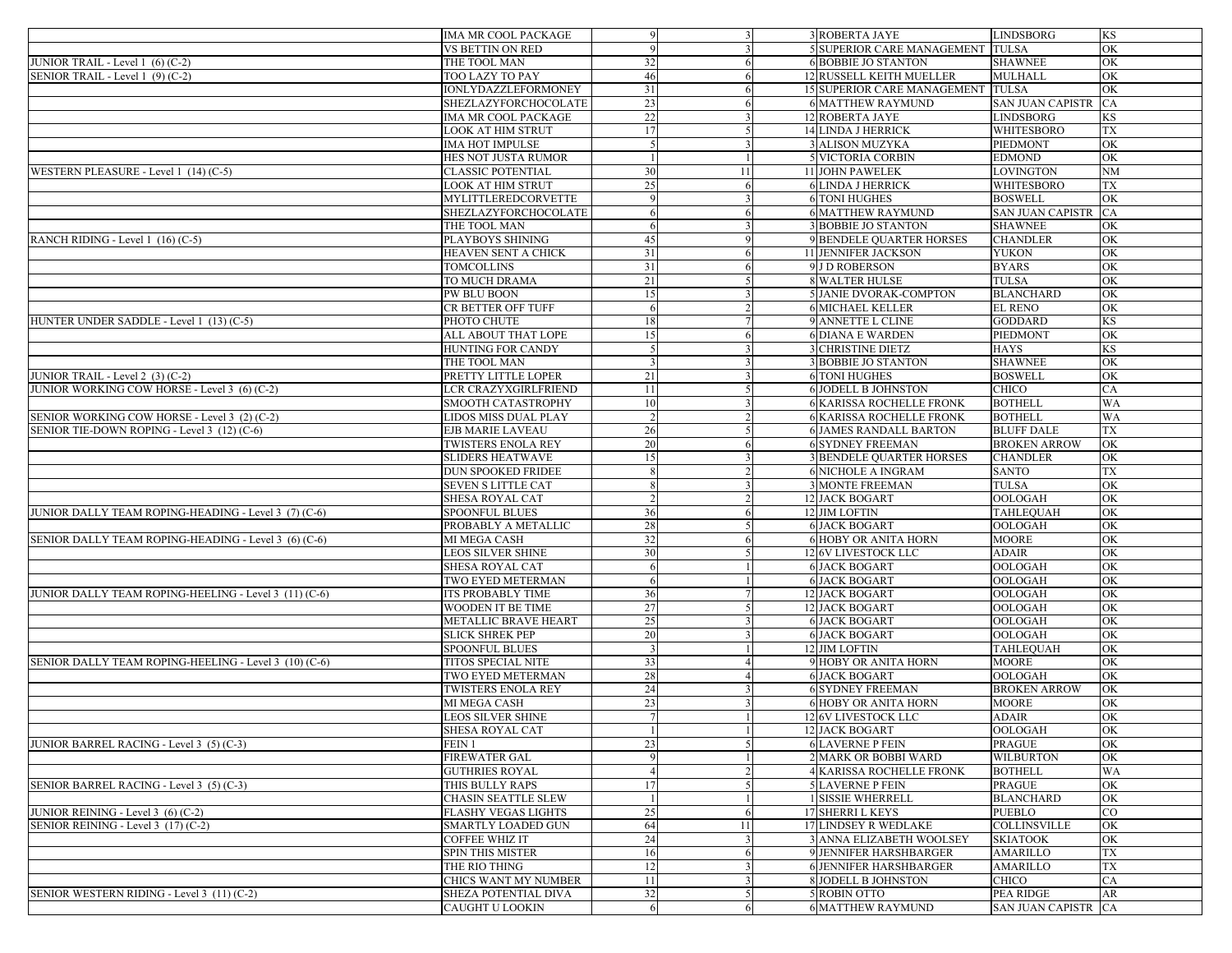|                                                                                             | <b>IMA MR COOL PACKAGE</b>                  | $\mathbf Q$         |    | 3 ROBERTA JAYE                                                   | <b>LINDSBORG</b>                 | KS        |
|---------------------------------------------------------------------------------------------|---------------------------------------------|---------------------|----|------------------------------------------------------------------|----------------------------------|-----------|
|                                                                                             | VS BETTIN ON RED                            |                     |    | <b>5 SUPERIOR CARE MANAGEMENT TULSA</b>                          |                                  | OK        |
| JUNIOR TRAIL - Level 1 (6) (C-2)                                                            | THE TOOL MAN                                | 32                  |    | <b>6 BOBBIE JO STANTON</b>                                       | <b>SHAWNEE</b>                   | OK        |
| SENIOR TRAIL - Level 1 (9) (C-2)                                                            | TOO LAZY TO PAY                             | 46                  |    | 12 RUSSELL KEITH MUELLER                                         | <b>MULHALL</b>                   | OK        |
|                                                                                             | IONLYDAZZLEFORMONEY                         | 31                  |    | 15 SUPERIOR CARE MANAGEMENT TULSA                                |                                  | OK        |
|                                                                                             | SHEZLAZYFORCHOCOLATE                        | 23                  |    | <b>6 MATTHEW RAYMUND</b>                                         | <b>SAN JUAN CAPISTR</b>          | <b>CA</b> |
|                                                                                             | IMA MR COOL PACKAGE                         | 22                  |    | 12 ROBERTA JAYE                                                  | <b>LINDSBORG</b>                 | KS        |
|                                                                                             | LOOK AT HIM STRUT                           | 17                  |    | 14 LINDA J HERRICK                                               | WHITESBORO                       | TX        |
|                                                                                             | IMA HOT IMPULSE                             |                     |    | <b>3 ALISON MUZYKA</b>                                           | <b>PIEDMONT</b>                  | OK        |
|                                                                                             | HES NOT JUSTA RUMOR                         |                     |    | <b>5 VICTORIA CORBIN</b>                                         | <b>EDMOND</b>                    | OK        |
| WESTERN PLEASURE - Level 1 (14) (C-5)                                                       | <b>CLASSIC POTENTIAL</b>                    | 30                  | 11 | <b>11 JOHN PAWELEK</b>                                           | LOVINGTON                        | <b>NM</b> |
|                                                                                             | LOOK AT HIM STRUT                           | 25                  |    | <b>6 LINDA J HERRICK</b>                                         | WHITESBORO                       | TX        |
|                                                                                             | MYLITTLEREDCORVETTE                         |                     |    | <b>6 TONI HUGHES</b>                                             | <b>BOSWELL</b>                   | OK        |
|                                                                                             | SHEZLAZYFORCHOCOLATE                        |                     |    | <b>6 MATTHEW RAYMUND</b>                                         | <b>SAN JUAN CAPISTR</b>          | <b>CA</b> |
|                                                                                             | THE TOOL MAN                                |                     |    | <b>3 BOBBIE JO STANTON</b>                                       | <b>SHAWNEE</b>                   | OK        |
| RANCH RIDING - Level $1(16)(C-5)$                                                           | PLAYBOYS SHINING                            | 45                  |    | <b>9 BENDELE QUARTER HORSES</b>                                  | <b>CHANDLER</b>                  | OK        |
|                                                                                             | HEAVEN SENT A CHICK                         | 31                  |    | <b>11 JENNIFER JACKSON</b>                                       | <b>YUKON</b>                     | OK        |
|                                                                                             | TOMCOLLINS                                  | 31                  |    | 9 J D ROBERSON                                                   | <b>BYARS</b>                     | OK        |
|                                                                                             | TO MUCH DRAMA                               | 21                  |    | <b>8 WALTER HULSE</b>                                            | <b>TULSA</b>                     | OK        |
|                                                                                             | PW BLU BOON                                 | 15                  |    | <b>5 JANIE DVORAK-COMPTON</b>                                    | <b>BLANCHARD</b>                 | OK        |
|                                                                                             | CR BETTER OFF TUFF                          |                     |    | <b>6 MICHAEL KELLER</b>                                          | <b>EL RENO</b>                   | OK        |
| HUNTER UNDER SADDLE - Level 1 (13) (C-5)                                                    | PHOTO CHUTE                                 | 18                  |    | 9 ANNETTE L CLINE                                                | <b>GODDARD</b>                   | KS        |
|                                                                                             | ALL ABOUT THAT LOPE                         | 15                  |    | <b>6 DIANA E WARDEN</b>                                          | PIEDMONT                         | OK        |
|                                                                                             | HUNTING FOR CANDY                           |                     |    | <b>3 CHRISTINE DIETZ</b>                                         | <b>HAYS</b>                      | KS        |
|                                                                                             | THE TOOL MAN                                |                     |    | <b>3 BOBBIE JO STANTON</b>                                       | <b>SHAWNEE</b>                   | OK        |
| JUNIOR TRAIL - Level 2 (3) (C-2)<br>JUNIOR WORKING COW HORSE - Level 3 (6) (C-2)            | PRETTY LITTLE LOPER<br>LCR CRAZYXGIRLFRIEND | 21<br>11            |    | <b>6 TONI HUGHES</b><br><b>6 JODELL B JOHNSTON</b>               | <b>BOSWELL</b><br><b>CHICO</b>   | OK        |
|                                                                                             |                                             |                     |    | <b>6 KARISSA ROCHELLE FRONK</b>                                  |                                  | CA        |
|                                                                                             | SMOOTH CATASTROPHY                          | 10<br>$\mathcal{D}$ |    |                                                                  | <b>BOTHELL</b><br><b>BOTHELL</b> | WA<br>WA  |
| SENIOR WORKING COW HORSE - Level 3 (2) (C-2)<br>SENIOR TIE-DOWN ROPING - Level 3 (12) (C-6) | LIDOS MISS DUAL PLAY<br>EJB MARIE LAVEAU    | 26                  |    | <b>6 KARISSA ROCHELLE FRONK</b><br><b>6 JAMES RANDALL BARTON</b> | <b>BLUFF DALE</b>                | TX        |
|                                                                                             | TWISTERS ENOLA REY                          | 20                  |    | <b>6 SYDNEY FREEMAN</b>                                          | <b>BROKEN ARROW</b>              | OK        |
|                                                                                             | SLIDERS HEATWAVE                            | 15                  |    | <b>3 BENDELE QUARTER HORSES</b>                                  | <b>CHANDLER</b>                  | OK        |
|                                                                                             | <b>DUN SPOOKED FRIDEE</b>                   |                     |    | <b>6 NICHOLE A INGRAM</b>                                        | <b>SANTO</b>                     | <b>TX</b> |
|                                                                                             | SEVEN S LITTLE CAT                          |                     |    | <b>3 MONTE FREEMAN</b>                                           | <b>TULSA</b>                     | OK        |
|                                                                                             | SHESA ROYAL CAT                             |                     |    | 12 JACK BOGART                                                   | OOLOGAH                          | OK        |
| JUNIOR DALLY TEAM ROPING-HEADING - Level 3 (7) (C-6)                                        | <b>SPOONFUL BLUES</b>                       | 36                  |    | 12 JIM LOFTIN                                                    | <b>TAHLEQUAH</b>                 | OK        |
|                                                                                             | PROBABLY A METALLIC                         | 28                  |    | <b>6 JACK BOGART</b>                                             | OOLOGAH                          | OK        |
| SENIOR DALLY TEAM ROPING-HEADING - Level 3 (6) (C-6)                                        | MI MEGA CASH                                | 32                  |    | <b>6 HOBY OR ANITA HORN</b>                                      | <b>MOORE</b>                     | OK        |
|                                                                                             | LEOS SILVER SHINE                           | 30                  |    | 12 6V LIVESTOCK LLC                                              | <b>ADAIR</b>                     | OK        |
|                                                                                             | SHESA ROYAL CAT                             | -6                  |    | <b>6 JACK BOGART</b>                                             | OOLOGAH                          | OK        |
|                                                                                             | TWO EYED METERMAN                           | -6                  |    | <b>6 JACK BOGART</b>                                             | OOLOGAH                          | OK        |
| JUNIOR DALLY TEAM ROPING-HEELING - Level 3 (11) (C-6)                                       | ITS PROBABLY TIME                           | 36                  |    | <b>12 JACK BOGART</b>                                            | OOLOGAH                          | OK        |
|                                                                                             | WOODEN IT BE TIME                           | 27                  |    | <b>12 JACK BOGART</b>                                            | OOLOGAH                          | OK        |
|                                                                                             | METALLIC BRAVE HEART                        | 25                  |    | <b>6 JACK BOGART</b>                                             | OOLOGAH                          | OK        |
|                                                                                             | SLICK SHREK PEP                             | 20                  |    | <b>6 JACK BOGART</b>                                             | OOLOGAH                          | OK        |
|                                                                                             | <b>SPOONFUL BLUES</b>                       |                     |    | 12 JIM LOFTIN                                                    | <b>TAHLEQUAH</b>                 | OK        |
| SENIOR DALLY TEAM ROPING-HEELING - Level 3 (10) (C-6)                                       | TITOS SPECIAL NITE                          | 33                  |    | 9 HOBY OR ANITA HORN                                             | <b>MOORE</b>                     | OK        |
|                                                                                             | TWO EYED METERMAN                           | 28                  |    | <b>6 JACK BOGART</b>                                             | OOLOGAH                          | OK        |
|                                                                                             | TWISTERS ENOLA REY                          | 24                  |    | <b>6 SYDNEY FREEMAN</b>                                          | <b>BROKEN ARROW</b>              | OK        |
|                                                                                             | MI MEGA CASH                                | 23                  |    | <b>6 HOBY OR ANITA HORN</b>                                      | <b>MOORE</b>                     | OK        |
|                                                                                             | LEOS SILVER SHINE                           |                     |    | 12 6V LIVESTOCK LLC                                              | <b>ADAIR</b>                     | OK        |
|                                                                                             | SHESA ROYAL CAT                             |                     |    | 12 JACK BOGART                                                   | OOLOGAH                          | ЮK        |
| JUNIOR BARREL RACING - Level 3 (5) (C-3)                                                    | FEIN 1                                      | 23                  |    | <b>6 LAVERNE P FEIN</b>                                          | <b>PRAGUE</b>                    | OK        |
|                                                                                             | FIREWATER GAL                               |                     |    | 2 MARK OR BOBBI WARD                                             | <b>WILBURTON</b>                 | OK        |
|                                                                                             | <b>GUTHRIES ROYAL</b>                       |                     |    | <b>4 KARISSA ROCHELLE FRONK</b>                                  | <b>BOTHELL</b>                   | WA        |
| SENIOR BARREL RACING - Level 3 (5) (C-3)                                                    | THIS BULLY RAPS                             | 17                  |    | <b>5 LAVERNE P FEIN</b>                                          | <b>PRAGUE</b>                    | <b>OK</b> |
|                                                                                             | CHASIN SEATTLE SLEW                         |                     |    | 1 SISSIE WHERRELL                                                | <b>BLANCHARD</b>                 | OK        |
| JUNIOR REINING - Level 3 (6) (C-2)                                                          | FLASHY VEGAS LIGHTS                         | 25                  |    | 17 SHERRI L KEYS                                                 | <b>PUEBLO</b>                    | CO        |
| SENIOR REINING - Level 3 (17) (C-2)                                                         | <b>SMARTLY LOADED GUN</b>                   | 64                  | 11 | <b>17 LINDSEY R WEDLAKE</b>                                      | <b>COLLINSVILLE</b>              | OK        |
|                                                                                             | COFFEE WHIZ IT                              | 24                  |    | <b>3 ANNA ELIZABETH WOOLSEY</b>                                  | <b>SKIATOOK</b>                  | OK        |
|                                                                                             | <b>SPIN THIS MISTER</b>                     | 16                  |    | 9 JENNIFER HARSHBARGER                                           | <b>AMARILLO</b>                  | <b>TX</b> |
|                                                                                             | THE RIO THING                               | 12                  |    | <b>6 JENNIFER HARSHBARGER</b>                                    | <b>AMARILLO</b>                  | TX        |
|                                                                                             | CHICS WANT MY NUMBER                        | 11                  |    | 8 JODELL B JOHNSTON                                              | CHICO                            | CA        |
| SENIOR WESTERN RIDING - Level 3 (11) (C-2)                                                  | SHEZA POTENTIAL DIVA                        | 32                  |    | 5 ROBIN OTTO                                                     | <b>PEA RIDGE</b>                 | AR        |
|                                                                                             | CAUGHT U LOOKIN                             | -6                  |    | <b>6 MATTHEW RAYMUND</b>                                         | SAN JUAN CAPISTR CA              |           |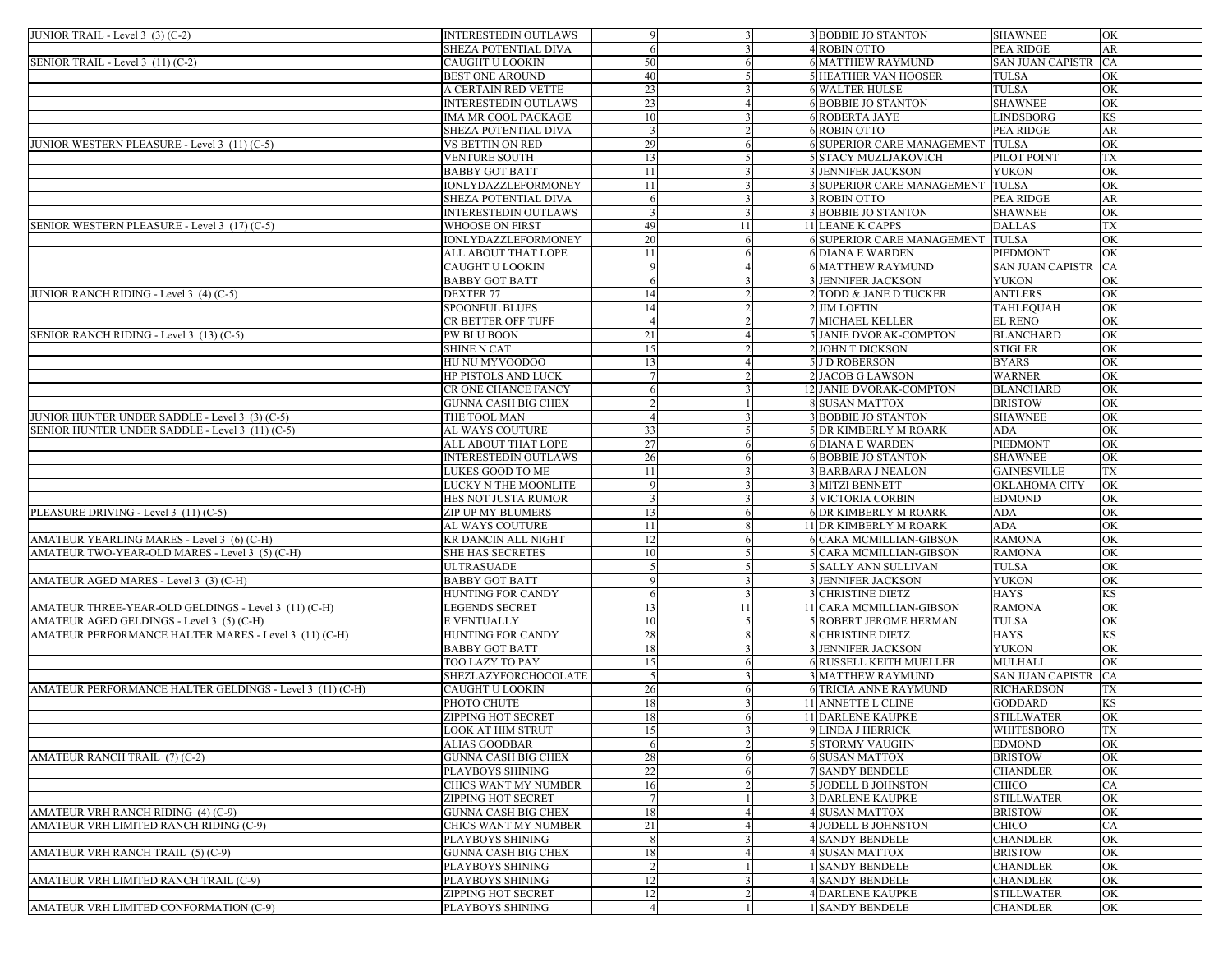| JUNIOR TRAIL - Level 3 (3) (C-2)                         | <b>INTERESTEDIN OUTLAWS</b> | $\mathbf Q$           |    | <b>3 BOBBIE JO STANTON</b>        | <b>SHAWNEE</b>          | OK                     |
|----------------------------------------------------------|-----------------------------|-----------------------|----|-----------------------------------|-------------------------|------------------------|
|                                                          | SHEZA POTENTIAL DIVA        |                       |    | 4 ROBIN OTTO                      | <b>PEA RIDGE</b>        | AR                     |
| SENIOR TRAIL - Level 3 (11) (C-2)                        | CAUGHT U LOOKIN             | 50                    |    | <b>6 MATTHEW RAYMUND</b>          | <b>SAN JUAN CAPISTR</b> | CA                     |
|                                                          | <b>BEST ONE AROUND</b>      | 40                    |    | <b>5 HEATHER VAN HOOSER</b>       | <b>TULSA</b>            | OK                     |
|                                                          | A CERTAIN RED VETTE         | 23                    |    | <b>6 WALTER HULSE</b>             | <b>TULSA</b>            | OK                     |
|                                                          | <b>INTERESTEDIN OUTLAWS</b> | 23                    |    | <b>6 BOBBIE JO STANTON</b>        | <b>SHAWNEE</b>          | OK                     |
|                                                          | IMA MR COOL PACKAGE         | 10                    |    | <b>6 ROBERTA JAYE</b>             | <b>LINDSBORG</b>        | KS                     |
|                                                          | SHEZA POTENTIAL DIVA        |                       |    | <b>6 ROBIN OTTO</b>               | PEA RIDGE               | AR                     |
| JUNIOR WESTERN PLEASURE - Level 3 (11) (C-5)             | VS BETTIN ON RED            | 29                    |    | <b>6 SUPERIOR CARE MANAGEMENT</b> | <b>TULSA</b>            | OK                     |
|                                                          | VENTURE SOUTH               | 13                    |    | <b>5 STACY MUZLJAKOVICH</b>       | PILOT POINT             | <b>TX</b>              |
|                                                          | <b>BABBY GOT BATT</b>       | 11                    |    | <b>3 JENNIFER JACKSON</b>         | <b>YUKON</b>            | OK                     |
|                                                          |                             | 11                    |    | 3 SUPERIOR CARE MANAGEMENT TULSA  |                         | OK                     |
|                                                          | IONLYDAZZLEFORMONEY         |                       |    |                                   |                         |                        |
|                                                          | SHEZA POTENTIAL DIVA        | -6                    |    | 3 ROBIN OTTO                      | <b>PEA RIDGE</b>        | AR                     |
|                                                          | <b>INTERESTEDIN OUTLAWS</b> |                       |    | <b>3 BOBBIE JO STANTON</b>        | <b>SHAWNEE</b>          | OK                     |
| SENIOR WESTERN PLEASURE - Level 3 (17) (C-5)             | WHOOSE ON FIRST             | 49                    | 11 | <b>11 LEANE K CAPPS</b>           | <b>DALLAS</b>           | TX                     |
|                                                          | IONLYDAZZLEFORMONEY         | 20                    |    | <b>6 SUPERIOR CARE MANAGEMENT</b> | <b>TULSA</b>            | OK                     |
|                                                          | ALL ABOUT THAT LOPE         | 11                    |    | <b>6 DIANA E WARDEN</b>           | <b>PIEDMONT</b>         | OK                     |
|                                                          | CAUGHT U LOOKIN             |                       |    | <b>6 MATTHEW RAYMUND</b>          | <b>SAN JUAN CAPISTR</b> | CA                     |
|                                                          | BABBY GOT BATT              | -6                    |    | <b>3 JENNIFER JACKSON</b>         | <b>YUKON</b>            | OK                     |
| JUNIOR RANCH RIDING - Level 3 (4) (C-5)                  | <b>DEXTER 77</b>            | 14                    |    | 2 TODD & JANE D TUCKER            | <b>ANTLERS</b>          | OK                     |
|                                                          | SPOONFUL BLUES              | 14                    |    | 2 JIM LOFTIN                      | <b>TAHLEQUAH</b>        | OK                     |
|                                                          | CR BETTER OFF TUFF          |                       |    | <b>7 MICHAEL KELLER</b>           | <b>EL RENO</b>          | OK                     |
| SENIOR RANCH RIDING - Level 3 (13) (C-5)                 | PW BLU BOON                 | 21                    |    | 5 JANIE DVORAK-COMPTON            | <b>BLANCHARD</b>        | OK                     |
|                                                          | SHINE N CAT                 | 15                    |    | 2 JOHN T DICKSON                  | <b>STIGLER</b>          | OK                     |
|                                                          | HU NU MYVOODOO              | 13                    |    | 5 J D ROBERSON                    | <b>BYARS</b>            | OK                     |
|                                                          | <b>HP PISTOLS AND LUCK</b>  |                       |    | 2 JACOB G LAWSON                  | <b>WARNER</b>           | OK                     |
|                                                          | CR ONE CHANCE FANCY         |                       |    | 12 JANIE DVORAK-COMPTON           | <b>BLANCHARD</b>        | OK                     |
|                                                          | GUNNA CASH BIG CHEX         |                       |    | <b>8 SUSAN MATTOX</b>             | <b>BRISTOW</b>          | OK                     |
| JUNIOR HUNTER UNDER SADDLE - Level 3 (3) (C-5)           | THE TOOL MAN                | $\boldsymbol{\Delta}$ |    | <b>3 BOBBIE JO STANTON</b>        | <b>SHAWNEE</b>          | OK                     |
| SENIOR HUNTER UNDER SADDLE - Level 3 (11) (C-5)          | AL WAYS COUTURE             | 33                    |    | <b>5 DR KIMBERLY M ROARK</b>      | <b>ADA</b>              | OK                     |
|                                                          | ALL ABOUT THAT LOPE         | 27                    |    | <b>6 DIANA E WARDEN</b>           | PIEDMONT                | OK                     |
|                                                          | <b>INTERESTEDIN OUTLAWS</b> | 26                    |    | <b>6 BOBBIE JO STANTON</b>        | <b>SHAWNEE</b>          | OK                     |
|                                                          | LUKES GOOD TO ME            | 11                    |    | <b>3 BARBARA J NEALON</b>         | <b>GAINESVILLE</b>      | TX                     |
|                                                          | LUCKY N THE MOONLITE        |                       |    | <b>3 MITZI BENNETT</b>            | <b>OKLAHOMA CITY</b>    | OK                     |
|                                                          | HES NOT JUSTA RUMOR         |                       |    | <b>3 VICTORIA CORBIN</b>          | <b>EDMOND</b>           | OK                     |
| PLEASURE DRIVING - Level 3 (11) (C-5)                    | ZIP UP MY BLUMERS           | 13                    |    | <b>6 DR KIMBERLY M ROARK</b>      | ADA                     | OK                     |
|                                                          | AL WAYS COUTURE             | 11                    |    | 11 DR KIMBERLY M ROARK            | <b>ADA</b>              | OK                     |
| AMATEUR YEARLING MARES - Level 3 (6) (C-H)               | KR DANCIN ALL NIGHT         | 12                    |    | <b>6 CARA MCMILLIAN-GIBSON</b>    | <b>RAMONA</b>           | OK                     |
| AMATEUR TWO-YEAR-OLD MARES - Level 3 (5) (C-H)           | SHE HAS SECRETES            | 10                    |    | 5 CARA MCMILLIAN-GIBSON           | <b>RAMONA</b>           | OK                     |
|                                                          |                             |                       |    |                                   |                         | OK                     |
|                                                          | ULTRASUADE                  |                       |    | 5 SALLY ANN SULLIVAN              | <b>TULSA</b>            |                        |
| AMATEUR AGED MARES - Level 3 (3) (C-H)                   | BABBY GOT BATT              |                       |    | <b>3 JENNIFER JACKSON</b>         | <b>YUKON</b>            | OK                     |
|                                                          | HUNTING FOR CANDY           | -6                    |    | <b>3 CHRISTINE DIETZ</b>          | <b>HAYS</b>             | <b>KS</b>              |
| AMATEUR THREE-YEAR-OLD GELDINGS - Level 3 (11) (C-H)     | <b>LEGENDS SECRET</b>       | 13                    | 11 | 11 CARA MCMILLIAN-GIBSON          | <b>RAMONA</b>           | OK                     |
| AMATEUR AGED GELDINGS - Level 3 (5) (C-H)                | E VENTUALLY                 | 10                    |    | <b>5 ROBERT JEROME HERMAN</b>     | <b>TULSA</b>            | OK                     |
| AMATEUR PERFORMANCE HALTER MARES - Level 3 (11) (C-H)    | HUNTING FOR CANDY           | 28                    | 8  | <b>8 CHRISTINE DIETZ</b>          | <b>HAYS</b>             | KS.                    |
|                                                          | BABBY GOT BATT              | 18                    |    | <b>3 JENNIFER JACKSON</b>         | <b>YUKON</b>            | OK                     |
|                                                          | TOO LAZY TO PAY             | 15                    |    | <b>6 RUSSELL KEITH MUELLER</b>    | MULHALL                 | OK                     |
|                                                          | SHEZLAZYFORCHOCOLATE        |                       |    | <b>3 MATTHEW RAYMUND</b>          | <b>SAN JUAN CAPISTR</b> | CA                     |
| AMATEUR PERFORMANCE HALTER GELDINGS - Level 3 (11) (C-H) | CAUGHT U LOOKIN             | 26                    |    | <b>6 TRICIA ANNE RAYMUND</b>      | <b>RICHARDSON</b>       | ТX                     |
|                                                          | PHOTO CHUTE                 | 18                    |    | 11 ANNETTE L CLINE                | <b>GODDARD</b>          | KS                     |
|                                                          | <b>ZIPPING HOT SECRET</b>   | 18                    |    | <b>11 DARLENE KAUPKE</b>          | <b>STILLWATER</b>       | OK                     |
|                                                          | LOOK AT HIM STRUT           | 15                    |    | 9 LINDA J HERRICK                 | WHITESBORO              | TX                     |
|                                                          | <b>ALIAS GOODBAR</b>        | -6                    |    | <b>5 STORMY VAUGHN</b>            | <b>EDMOND</b>           | OK                     |
| AMATEUR RANCH TRAIL (7) (C-2)                            | GUNNA CASH BIG CHEX         | 28                    |    | <b>6 SUSAN MATTOX</b>             | <b>BRISTOW</b>          | OK                     |
|                                                          | PLAYBOYS SHINING            | 22                    |    | <b>7 SANDY BENDELE</b>            | <b>CHANDLER</b>         | OK                     |
|                                                          | CHICS WANT MY NUMBER        | 16                    |    | <b>5 JODELL B JOHNSTON</b>        | CHICO                   | CA                     |
|                                                          | ZIPPING HOT SECRET          |                       |    | <b>3 DARLENE KAUPKE</b>           | <b>STILLWATER</b>       | OK                     |
| AMATEUR VRH RANCH RIDING (4) (C-9)                       | <b>GUNNA CASH BIG CHEX</b>  | 18                    |    | <b>4 SUSAN MATTOX</b>             | <b>BRISTOW</b>          | OK                     |
| AMATEUR VRH LIMITED RANCH RIDING (C-9)                   | CHICS WANT MY NUMBER        | 21                    |    | <b>4 JODELL B JOHNSTON</b>        | <b>CHICO</b>            | CA                     |
|                                                          | PLAYBOYS SHINING            |                       |    | <b>4 SANDY BENDELE</b>            | <b>CHANDLER</b>         | $\overline{\text{OK}}$ |
| AMATEUR VRH RANCH TRAIL (5) (C-9)                        | GUNNA CASH BIG CHEX         | 18                    |    | <b>4 SUSAN MATTOX</b>             | <b>BRISTOW</b>          | OK                     |
|                                                          | PLAYBOYS SHINING            |                       |    | <b>1 SANDY BENDELE</b>            | <b>CHANDLER</b>         | $\overline{\text{OK}}$ |
| AMATEUR VRH LIMITED RANCH TRAIL (C-9)                    | PLAYBOYS SHINING            | 12                    |    | <b>4 SANDY BENDELE</b>            | <b>CHANDLER</b>         | OK                     |
|                                                          | ZIPPING HOT SECRET          | 12                    |    | <b>4 DARLENE KAUPKE</b>           | <b>STILLWATER</b>       | $\overline{\text{OK}}$ |
| AMATEUR VRH LIMITED CONFORMATION (C-9)                   | PLAYBOYS SHINING            | $\overline{4}$        |    | 1 SANDY BENDELE                   |                         | OK                     |
|                                                          |                             |                       |    |                                   | <b>CHANDLER</b>         |                        |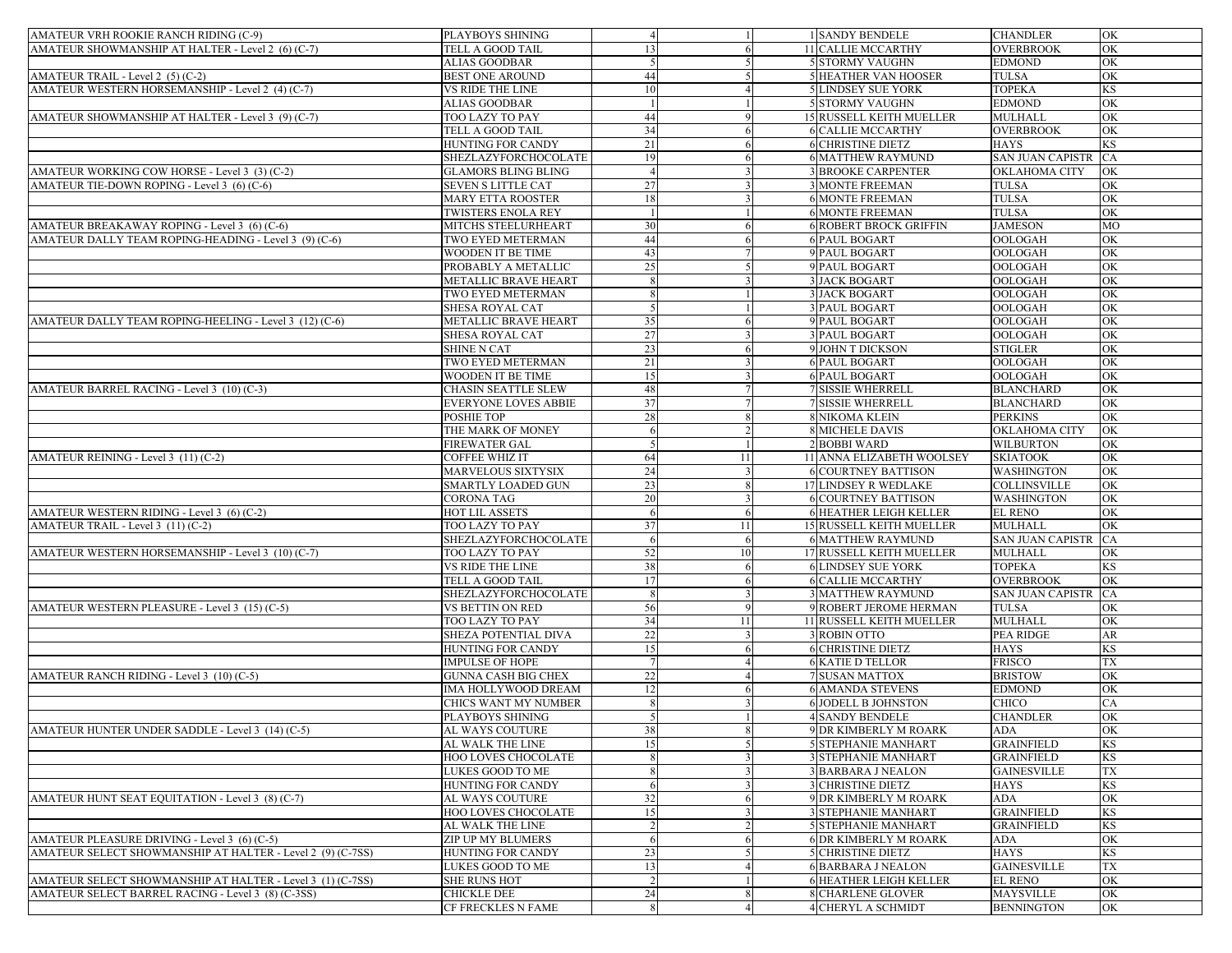| AMATEUR VRH ROOKIE RANCH RIDING (C-9)                      | PLAYBOYS SHINING                 | $\overline{4}$ |    | 1 SANDY BENDELE                 | <b>CHANDLER</b>         | OK        |
|------------------------------------------------------------|----------------------------------|----------------|----|---------------------------------|-------------------------|-----------|
| AMATEUR SHOWMANSHIP AT HALTER - Level 2 (6) (C-7)          | TELL A GOOD TAIL                 | 13             |    | 11 CALLIE MCCARTHY              | <b>OVERBROOK</b>        | OK        |
|                                                            | ALIAS GOODBAR                    |                |    | <b>5 STORMY VAUGHN</b>          | <b>EDMOND</b>           | OK        |
| AMATEUR TRAIL - Level 2 (5) (C-2)                          | BEST ONE AROUND                  | 44             |    | <b>5 HEATHER VAN HOOSER</b>     | TULSA                   | OK        |
| AMATEUR WESTERN HORSEMANSHIP - Level 2 (4) (C-7)           | VS RIDE THE LINE                 | 10             |    | <b>5 LINDSEY SUE YORK</b>       | <b>TOPEKA</b>           | KS        |
|                                                            | ALIAS GOODBAR                    |                |    | <b>5 STORMY VAUGHN</b>          | <b>EDMOND</b>           | OK        |
| AMATEUR SHOWMANSHIP AT HALTER - Level 3 (9) (C-7)          | TOO LAZY TO PAY                  | 44             |    | 15 RUSSELL KEITH MUELLER        | <b>MULHALL</b>          | OK        |
|                                                            | TELL A GOOD TAIL                 | 34             |    | <b>6 CALLIE MCCARTHY</b>        | <b>OVERBROOK</b>        | OK        |
|                                                            | <b>HUNTING FOR CANDY</b>         | 21             |    | <b>6 CHRISTINE DIETZ</b>        | <b>HAYS</b>             | <b>KS</b> |
|                                                            | SHEZLAZYFORCHOCOLATE             | 19             |    | <b>6 MATTHEW RAYMUND</b>        | <b>SAN JUAN CAPISTR</b> | <b>CA</b> |
| AMATEUR WORKING COW HORSE - Level 3 (3) (C-2)              | <b>GLAMORS BLING BLING</b>       |                |    | <b>3 BROOKE CARPENTER</b>       | OKLAHOMA CITY           | OK        |
|                                                            |                                  | 27             |    | <b>3 MONTE FREEMAN</b>          |                         | OK        |
| AMATEUR TIE-DOWN ROPING - Level 3 (6) (C-6)                | <b>SEVEN S LITTLE CAT</b>        |                |    |                                 | <b>TULSA</b>            |           |
|                                                            | <b>MARY ETTA ROOSTER</b>         | 18             |    | <b>6 MONTE FREEMAN</b>          | <b>TULSA</b>            | OK        |
|                                                            | TWISTERS ENOLA REY               |                |    | <b>6 MONTE FREEMAN</b>          | <b>TULSA</b>            | OK        |
| AMATEUR BREAKAWAY ROPING - Level 3 (6) (C-6)               | MITCHS STEELURHEART              | 30             |    | <b>6 ROBERT BROCK GRIFFIN</b>   | <b>JAMESON</b>          | MO        |
| AMATEUR DALLY TEAM ROPING-HEADING - Level 3 (9) (C-6)      | TWO EYED METERMAN                | 44             |    | <b>6 PAUL BOGART</b>            | OOLOGAH                 | OK        |
|                                                            | WOODEN IT BE TIME                | 43             |    | 9 PAUL BOGART                   | OOLOGAH                 | OK        |
|                                                            | PROBABLY A METALLIC              | 25             |    | 9 PAUL BOGART                   | OOLOGAH                 | OK        |
|                                                            | METALLIC BRAVE HEART             |                |    | <b>3 JACK BOGART</b>            | OOLOGAH                 | <b>OK</b> |
|                                                            | <b>TWO EYED METERMAN</b>         |                |    | <b>3 JACK BOGART</b>            | OOLOGAH                 | OK        |
|                                                            | SHESA ROYAL CAT                  |                |    | <b>3 PAUL BOGART</b>            | OOLOGAH                 | OK        |
| AMATEUR DALLY TEAM ROPING-HEELING - Level 3 (12) (C-6)     | METALLIC BRAVE HEART             | 35             |    | 9 PAUL BOGART                   | OOLOGAH                 | OK        |
|                                                            | SHESA ROYAL CAT                  | 27             |    | <b>3 PAUL BOGART</b>            | <b>OOLOGAH</b>          | OK        |
|                                                            | <b>SHINE N CAT</b>               | 23             |    | 9 JOHN T DICKSON                | <b>STIGLER</b>          | OK        |
|                                                            | TWO EYED METERMAN                | 21             |    | <b>6 PAUL BOGART</b>            | OOLOGAH                 | OK        |
|                                                            | WOODEN IT BE TIME                | 15             |    | <b>6 PAUL BOGART</b>            | OOLOGAH                 | OK        |
| AMATEUR BARREL RACING - Level 3 (10) (C-3)                 | CHASIN SEATTLE SLEW              | 48             |    | <b>7 SISSIE WHERRELL</b>        | <b>BLANCHARD</b>        | OK        |
|                                                            | EVERYONE LOVES ABBIE             | 37             |    | <b>7 SISSIE WHERRELL</b>        | <b>BLANCHARD</b>        | OK        |
|                                                            | POSHIE TOP                       | 28             |    | 8 NIKOMA KLEIN                  | <b>PERKINS</b>          | OK        |
|                                                            | THE MARK OF MONEY                | -6             |    | <b>8 MICHELE DAVIS</b>          | OKLAHOMA CITY           | OK        |
|                                                            | <b>FIREWATER GAL</b>             |                |    | 2 BOBBI WARD                    | <b>WILBURTON</b>        | OK        |
| AMATEUR REINING - Level 3 (11) (C-2)                       | COFFEE WHIZ IT                   | 64             | 11 | 11 ANNA ELIZABETH WOOLSEY       | <b>SKIATOOK</b>         | <b>OK</b> |
|                                                            | <b>MARVELOUS SIXTYSIX</b>        | 24             |    | <b>6 COURTNEY BATTISON</b>      | WASHINGTON              | OK        |
|                                                            |                                  | 23             |    |                                 | COLLINSVILLE            | OK        |
|                                                            | SMARTLY LOADED GUN<br>CORONA TAG | 20             |    | 17 LINDSEY R WEDLAKE            | WASHINGTON              | OK        |
|                                                            |                                  |                |    | <b>6 COURTNEY BATTISON</b>      |                         |           |
| AMATEUR WESTERN RIDING - Level 3 (6) (C-2)                 | HOT LIL ASSETS                   |                |    | <b>6 HEATHER LEIGH KELLER</b>   | <b>EL RENO</b>          | OK        |
| AMATEUR TRAIL - Level 3 (11) (C-2)                         | TOO LAZY TO PAY                  | 37             | 11 | <b>15 RUSSELL KEITH MUELLER</b> | <b>MULHALL</b>          | OK        |
|                                                            | SHEZLAZYFORCHOCOLATE             | -6             |    | <b>6 MATTHEW RAYMUND</b>        | <b>SAN JUAN CAPISTR</b> | <b>CA</b> |
| AMATEUR WESTERN HORSEMANSHIP - Level 3 (10) (C-7)          | TOO LAZY TO PAY                  | 52             | 10 | 17 RUSSELL KEITH MUELLER        | <b>MULHALL</b>          | OK        |
|                                                            | VS RIDE THE LINE                 | 38             |    | <b>6 LINDSEY SUE YORK</b>       | <b>TOPEKA</b>           | <b>KS</b> |
|                                                            | TELL A GOOD TAIL                 | 17             |    | <b>6 CALLIE MCCARTHY</b>        | <b>OVERBROOK</b>        | OK        |
|                                                            | SHEZLAZYFORCHOCOLATE             |                |    | <b>3 MATTHEW RAYMUND</b>        | <b>SAN JUAN CAPISTR</b> | <b>CA</b> |
| AMATEUR WESTERN PLEASURE - Level 3 (15) (C-5)              | VS BETTIN ON RED                 | 56             |    | 9 ROBERT JEROME HERMAN          | <b>TULSA</b>            | OK        |
|                                                            | TOO LAZY TO PAY                  | 34             | 11 | 11 RUSSELL KEITH MUELLER        | <b>MULHALL</b>          | OK        |
|                                                            | SHEZA POTENTIAL DIVA             | 22             |    | <b>3 ROBIN OTTO</b>             | PEA RIDGE               | AR        |
|                                                            | HUNTING FOR CANDY                | 15             |    | <b>6 CHRISTINE DIETZ</b>        | <b>HAYS</b>             | KS        |
|                                                            | <b>IMPULSE OF HOPE</b>           |                |    | <b>6 KATIE D TELLOR</b>         | <b>FRISCO</b>           | TX        |
| AMATEUR RANCH RIDING - Level 3 (10) (C-5)                  | <b>GUNNA CASH BIG CHEX</b>       | 22             |    | 7 SUSAN MATTOX                  | <b>BRISTOW</b>          | OK        |
|                                                            | IMA HOLLYWOOD DREAM              | 12             |    | <b>6 AMANDA STEVENS</b>         | <b>EDMOND</b>           | OK        |
|                                                            | CHICS WANT MY NUMBER             | 8              |    | <b>6 JODELL B JOHNSTON</b>      | CHICO                   | CA        |
|                                                            | PLAYBOYS SHINING                 |                |    | <b>4 SANDY BENDELE</b>          | <b>CHANDLER</b>         | OK        |
| AMATEUR HUNTER UNDER SADDLE - Level 3 (14) (C-5)           | AL WAYS COUTURE                  | 38             |    | 9 DR KIMBERLY M ROARK           | ADA                     | OK        |
|                                                            | AL WALK THE LINE                 | 15             |    | <b>5 STEPHANIE MANHART</b>      | <b>GRAINFIELD</b>       | <b>KS</b> |
|                                                            | HOO LOVES CHOCOLATE              |                |    | <b>3 STEPHANIE MANHART</b>      | <b>GRAINFIELD</b>       | KS        |
|                                                            | LUKES GOOD TO ME                 |                |    | <b>3 BARBARA J NEALON</b>       | <b>GAINESVILLE</b>      | TX        |
|                                                            | HUNTING FOR CANDY                | 6              |    | <b>3 CHRISTINE DIETZ</b>        | <b>HAYS</b>             | KS        |
| AMATEUR HUNT SEAT EQUITATION - Level 3 (8) (C-7)           | AL WAYS COUTURE                  | 32             |    | 9 DR KIMBERLY M ROARK           | <b>ADA</b>              | OK        |
|                                                            | HOO LOVES CHOCOLATE              | 15             |    | 3 STEPHANIE MANHART             | <b>GRAINFIELD</b>       | KS        |
|                                                            |                                  |                |    |                                 |                         |           |
|                                                            | AL WALK THE LINE                 |                |    | <b>5 STEPHANIE MANHART</b>      | <b>GRAINFIELD</b>       | KS        |
| AMATEUR PLEASURE DRIVING - Level 3 (6) (C-5)               | ZIP UP MY BLUMERS                |                |    | <b>6 DR KIMBERLY M ROARK</b>    | ADA                     | OK        |
| AMATEUR SELECT SHOWMANSHIP AT HALTER - Level 2 (9) (C-7SS) | <b>HUNTING FOR CANDY</b>         | 23             |    | <b>5 CHRISTINE DIETZ</b>        | <b>HAYS</b>             | KS        |
|                                                            | LUKES GOOD TO ME                 | 13             |    | <b>6 BARBARA J NEALON</b>       | <b>GAINESVILLE</b>      | <b>TX</b> |
| AMATEUR SELECT SHOWMANSHIP AT HALTER - Level 3 (1) (C-7SS) | <b>SHE RUNS HOT</b>              |                |    | <b>6 HEATHER LEIGH KELLER</b>   | <b>EL RENO</b>          | OK        |
| AMATEUR SELECT BARREL RACING - Level 3 (8) (C-3SS)         | CHICKLE DEE                      | 24             |    | 8 CHARLENE GLOVER               | <b>MAYSVILLE</b>        | OK        |
|                                                            | CF FRECKLES N FAME               |                |    | 4 CHERYL A SCHMIDT              | <b>BENNINGTON</b>       | OK        |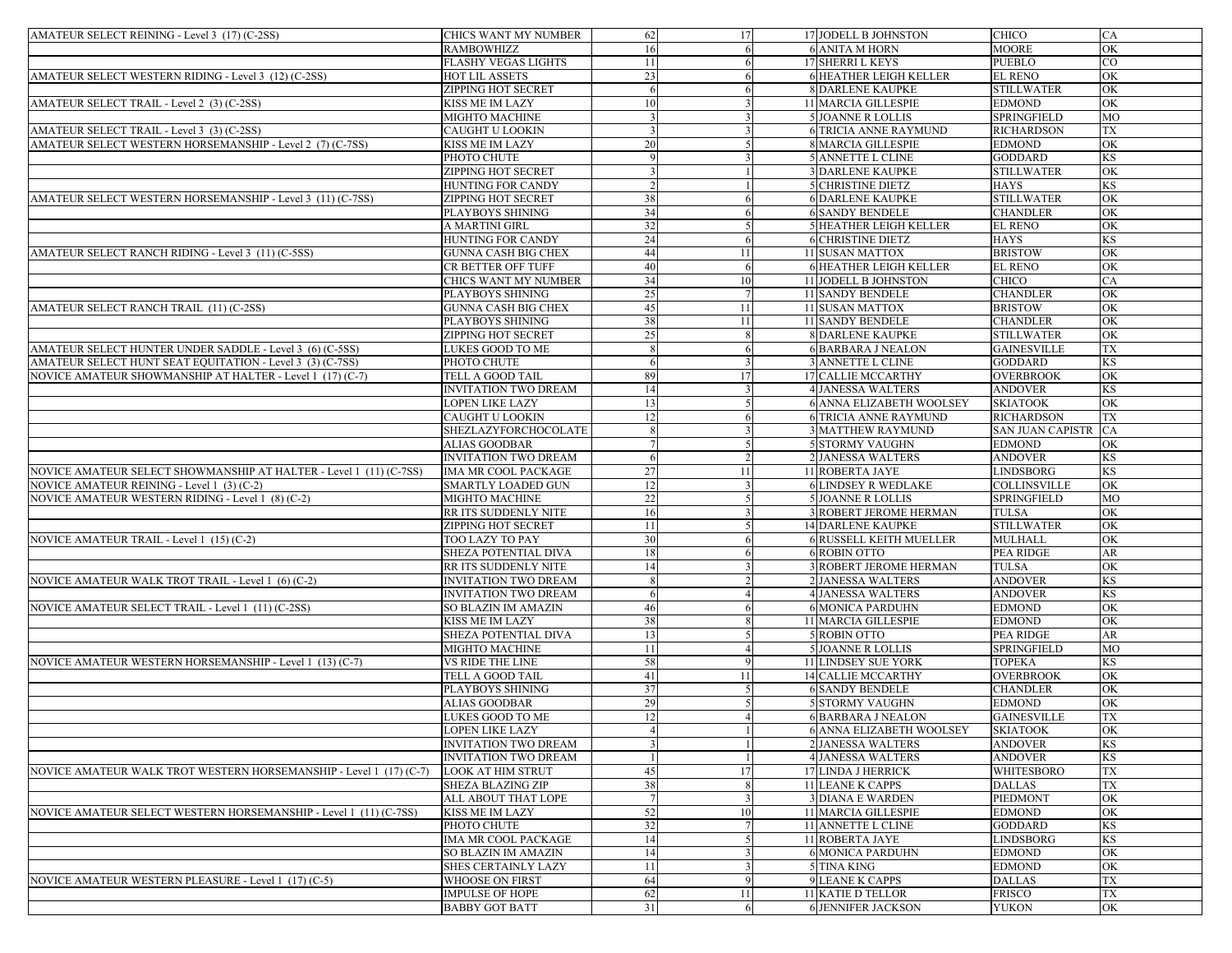| AMATEUR SELECT REINING - Level 3 (17) (C-2SS)                      | CHICS WANT MY NUMBER        | 62 | 17 | 17 JODELL B JOHNSTON          | <b>CHICO</b>        | <b>CA</b> |
|--------------------------------------------------------------------|-----------------------------|----|----|-------------------------------|---------------------|-----------|
|                                                                    | RAMBOWHIZZ                  | 16 |    | <b>6 ANITA M HORN</b>         | <b>MOORE</b>        | OK        |
|                                                                    | FLASHY VEGAS LIGHTS         | 11 |    | 17 SHERRI L KEYS              | <b>PUEBLO</b>       | CO        |
| AMATEUR SELECT WESTERN RIDING - Level 3 (12) (C-2SS)               | HOT LIL ASSETS              | 23 |    | <b>6 HEATHER LEIGH KELLER</b> | <b>EL RENO</b>      | OK        |
|                                                                    | ZIPPING HOT SECRET          | -6 |    | <b>8 DARLENE KAUPKE</b>       | <b>STILLWATER</b>   | OK        |
| AMATEUR SELECT TRAIL - Level 2 (3) (C-2SS)                         | KISS ME IM LAZY             | 10 |    | <b>11 MARCIA GILLESPIE</b>    | <b>EDMOND</b>       | OK        |
|                                                                    | MIGHTO MACHINE              |    |    | <b>5 JOANNE R LOLLIS</b>      | <b>SPRINGFIELD</b>  | MO        |
|                                                                    |                             |    |    | <b>6 TRICIA ANNE RAYMUND</b>  |                     | TX        |
| AMATEUR SELECT TRAIL - Level 3 (3) (C-2SS)                         | CAUGHT U LOOKIN             |    |    |                               | <b>RICHARDSON</b>   |           |
| AMATEUR SELECT WESTERN HORSEMANSHIP - Level 2 (7) (C-7SS)          | KISS ME IM LAZY             | 20 |    | <b>8 MARCIA GILLESPIE</b>     | <b>EDMOND</b>       | OK        |
|                                                                    | PHOTO CHUTE                 |    |    | 5 ANNETTE L CLINE             | <b>GODDARD</b>      | KS        |
|                                                                    | <b>ZIPPING HOT SECRET</b>   |    |    | <b>3 DARLENE KAUPKE</b>       | <b>STILLWATER</b>   | OK        |
|                                                                    | <b>HUNTING FOR CANDY</b>    |    |    | <b>5 CHRISTINE DIETZ</b>      | <b>HAYS</b>         | KS        |
| AMATEUR SELECT WESTERN HORSEMANSHIP - Level 3 (11) (C-7SS)         | <b>ZIPPING HOT SECRET</b>   | 38 |    | <b>6 DARLENE KAUPKE</b>       | <b>STILLWATER</b>   | OK        |
|                                                                    | PLAYBOYS SHINING            | 34 |    | <b>6 SANDY BENDELE</b>        | <b>CHANDLER</b>     | OK        |
|                                                                    | A MARTINI GIRL              | 32 |    | <b>5 HEATHER LEIGH KELLER</b> | <b>EL RENO</b>      | OK        |
|                                                                    | HUNTING FOR CANDY           | 24 |    | <b>6 CHRISTINE DIETZ</b>      | <b>HAYS</b>         | <b>KS</b> |
| AMATEUR SELECT RANCH RIDING - Level 3 (11) (C-5SS)                 | GUNNA CASH BIG CHEX         | 44 | 11 | 11 SUSAN MATTOX               | <b>BRISTOW</b>      | OK        |
|                                                                    | CR BETTER OFF TUFF          | 40 | -6 | <b>6 HEATHER LEIGH KELLER</b> | <b>EL RENO</b>      | OK        |
|                                                                    | CHICS WANT MY NUMBER        | 34 | 10 | 11 JODELL B JOHNSTON          | CHICO               | <b>CA</b> |
|                                                                    | PLAYBOYS SHINING            | 25 |    | <b>11 SANDY BENDELE</b>       | <b>CHANDLER</b>     | OK        |
| AMATEUR SELECT RANCH TRAIL (11) (C-2SS)                            | GUNNA CASH BIG CHEX         | 45 | 11 | 11 SUSAN MATTOX               | <b>BRISTOW</b>      | OK        |
|                                                                    | PLAYBOYS SHINING            | 38 | 11 | <b>11 SANDY BENDELE</b>       | <b>CHANDLER</b>     | OK        |
|                                                                    | ZIPPING HOT SECRET          | 25 |    | <b>8 DARLENE KAUPKE</b>       | <b>STILLWATER</b>   | OK        |
| AMATEUR SELECT HUNTER UNDER SADDLE - Level 3 (6) (C-5SS)           | LUKES GOOD TO ME            |    |    | <b>6 BARBARA J NEALON</b>     | <b>GAINESVILLE</b>  | <b>TX</b> |
| AMATEUR SELECT HUNT SEAT EQUITATION - Level 3 (3) (C-7SS)          | PHOTO CHUTE                 |    |    | <b>3 ANNETTE L CLINE</b>      | <b>GODDARD</b>      | KS        |
| NOVICE AMATEUR SHOWMANSHIP AT HALTER - Level 1 (17) (C-7)          | TELL A GOOD TAIL            | 89 | 17 | 17 CALLIE MCCARTHY            | <b>OVERBROOK</b>    | OK        |
|                                                                    | INVITATION TWO DREAM        | 14 |    | <b>4 JANESSA WALTERS</b>      | <b>ANDOVER</b>      | <b>KS</b> |
|                                                                    | LOPEN LIKE LAZY             | 13 |    | 6 ANNA ELIZABETH WOOLSEY      | <b>SKIATOOK</b>     | OK        |
|                                                                    | CAUGHT U LOOKIN             | 12 |    | <b>6 TRICIA ANNE RAYMUND</b>  | <b>RICHARDSON</b>   | TX        |
|                                                                    | SHEZLAZYFORCHOCOLATE        |    |    | <b>3 MATTHEW RAYMUND</b>      | SAN JUAN CAPISTR CA |           |
|                                                                    | <b>ALIAS GOODBAR</b>        |    |    | <b>5 STORMY VAUGHN</b>        | <b>EDMOND</b>       | OK        |
|                                                                    |                             |    |    | <b>2 JANESSA WALTERS</b>      |                     |           |
|                                                                    | <b>INVITATION TWO DREAM</b> | -6 |    |                               | <b>ANDOVER</b>      | <b>KS</b> |
| NOVICE AMATEUR SELECT SHOWMANSHIP AT HALTER - Level 1 (11) (C-7SS) | <b>IMA MR COOL PACKAGE</b>  | 27 | 11 | 11 ROBERTA JAYE               | <b>LINDSBORG</b>    | <b>KS</b> |
| NOVICE AMATEUR REINING - Level 1 (3) (C-2)                         | SMARTLY LOADED GUN          | 12 |    | <b>6 LINDSEY R WEDLAKE</b>    | <b>COLLINSVILLE</b> | OK        |
| NOVICE AMATEUR WESTERN RIDING - Level 1 (8) (C-2)                  | MIGHTO MACHINE              | 22 |    | <b>5 JOANNE R LOLLIS</b>      | SPRINGFIELD         | MO        |
|                                                                    | RR ITS SUDDENLY NITE        | 16 |    | <b>3 ROBERT JEROME HERMAN</b> | <b>TULSA</b>        | OK        |
|                                                                    | ZIPPING HOT SECRET          | 11 |    | <b>14 DARLENE KAUPKE</b>      | <b>STILLWATER</b>   | OK        |
| NOVICE AMATEUR TRAIL - Level 1 (15) (C-2)                          | TOO LAZY TO PAY             | 30 |    | 6 RUSSELL KEITH MUELLER       | <b>MULHALL</b>      | OK        |
|                                                                    | SHEZA POTENTIAL DIVA        | 18 |    | <b>6 ROBIN OTTO</b>           | <b>PEA RIDGE</b>    | AR        |
|                                                                    | RR ITS SUDDENLY NITE        | 14 |    | <b>3 ROBERT JEROME HERMAN</b> | <b>TULSA</b>        | OK        |
| NOVICE AMATEUR WALK TROT TRAIL - Level 1 (6) (C-2)                 | <b>INVITATION TWO DREAM</b> | -8 |    | 2 JANESSA WALTERS             | <b>ANDOVER</b>      | KS        |
|                                                                    | <b>INVITATION TWO DREAM</b> | -6 |    | <b>4 JANESSA WALTERS</b>      | <b>ANDOVER</b>      | <b>KS</b> |
| NOVICE AMATEUR SELECT TRAIL - Level 1 (11) (C-2SS)                 | SO BLAZIN IM AMAZIN         | 46 |    | <b>6 MONICA PARDUHN</b>       | <b>EDMOND</b>       | OK        |
|                                                                    | KISS ME IM LAZY             | 38 |    | 11 MARCIA GILLESPIE           | EDMOND              | OK        |
|                                                                    | SHEZA POTENTIAL DIVA        | 13 |    | 5 ROBIN OTTO                  | PEA RIDGE           | AR        |
|                                                                    | MIGHTO MACHINE              | 11 |    | <b>5 JOANNE R LOLLIS</b>      | <b>SPRINGFIELD</b>  | MO        |
| NOVICE AMATEUR WESTERN HORSEMANSHIP - Level 1 (13) (C-7)           | VS RIDE THE LINE            | 58 |    | 11 LINDSEY SUE YORK           | <b>TOPEKA</b>       | KS        |
|                                                                    | TELL A GOOD TAIL            | 41 | 11 | <b>14 CALLIE MCCARTHY</b>     | <b>OVERBROOK</b>    | OK        |
|                                                                    | PLAYBOYS SHINING            | 37 |    | <b>6 SANDY BENDELE</b>        | <b>CHANDLER</b>     | OK        |
|                                                                    | <b>ALIAS GOODBAR</b>        | 29 |    | <b>5 STORMY VAUGHN</b>        | <b>EDMOND</b>       | OK        |
|                                                                    | LUKES GOOD TO ME            | 12 |    | <b>6 BARBARA J NEALON</b>     | <b>GAINESVILLE</b>  | TX        |
|                                                                    | LOPEN LIKE LAZY             |    |    | 6 ANNA ELIZABETH WOOLSEY      | <b>SKIATOOK</b>     | OK        |
|                                                                    | <b>INVITATION TWO DREAM</b> |    |    | <b>2 JANESSA WALTERS</b>      | <b>ANDOVER</b>      | <b>KS</b> |
|                                                                    | <b>INVITATION TWO DREAM</b> |    |    | <b>4 JANESSA WALTERS</b>      | <b>ANDOVER</b>      | KS        |
| NOVICE AMATEUR WALK TROT WESTERN HORSEMANSHIP - Level 1 (17) (C-7) | <b>LOOK AT HIM STRUT</b>    | 45 | 17 | 17 LINDA J HERRICK            | WHITESBORO          | TX        |
|                                                                    | SHEZA BLAZING ZIP           | 38 |    | <b>11 LEANE K CAPPS</b>       | <b>DALLAS</b>       | TX        |
|                                                                    | ALL ABOUT THAT LOPE         |    |    | <b>3 DIANA E WARDEN</b>       | PIEDMONT            | OK        |
| NOVICE AMATEUR SELECT WESTERN HORSEMANSHIP - Level 1 (11) (C-7SS)  | KISS ME IM LAZY             | 52 | 10 | 11 MARCIA GILLESPIE           | EDMOND              | OK        |
|                                                                    | PHOTO CHUTE                 | 32 |    | 11 ANNETTE L CLINE            | <b>GODDARD</b>      | KS        |
|                                                                    | IMA MR COOL PACKAGE         | 14 |    | 11 ROBERTA JAYE               | LINDSBORG           | KS        |
|                                                                    |                             |    |    | <b>6 MONICA PARDUHN</b>       |                     |           |
|                                                                    | SO BLAZIN IM AMAZIN         | 14 |    |                               | EDMOND              | OK        |
|                                                                    | SHES CERTAINLY LAZY         | 11 |    | 5 TINA KING                   | <b>EDMOND</b>       | OK        |
| NOVICE AMATEUR WESTERN PLEASURE - Level 1 (17) (C-5)               | WHOOSE ON FIRST             | 64 |    | <b>9 LEANE K CAPPS</b>        | <b>DALLAS</b>       | <b>TX</b> |
|                                                                    | <b>IMPULSE OF HOPE</b>      | 62 | 11 | <b>11 KATIE D TELLOR</b>      | <b>FRISCO</b>       | TX        |
|                                                                    | <b>BABBY GOT BATT</b>       | 31 | 6  | <b>6 JENNIFER JACKSON</b>     | <b>YUKON</b>        | OK        |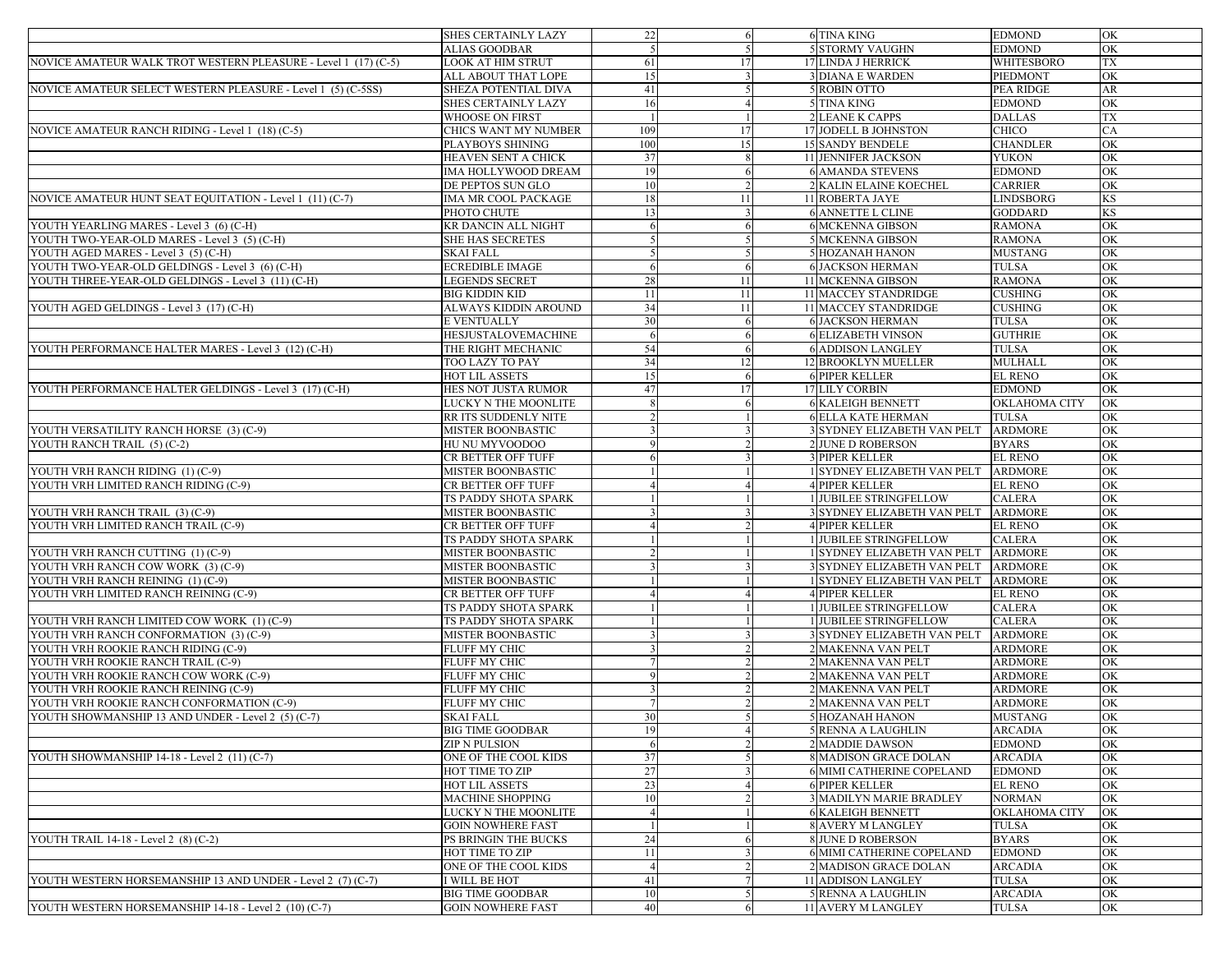|                                                                           | SHES CERTAINLY LAZY                          | 22             | 6  | <b>6 TINA KING</b>               | <b>EDMOND</b>                    | OK        |
|---------------------------------------------------------------------------|----------------------------------------------|----------------|----|----------------------------------|----------------------------------|-----------|
|                                                                           | ALIAS GOODBAR                                |                |    | <b>5 STORMY VAUGHN</b>           | <b>EDMOND</b>                    | OK        |
| NOVICE AMATEUR WALK TROT WESTERN PLEASURE - Level 1 (17) (C-5)            | LOOK AT HIM STRUT                            | 61             | 17 | 17 LINDA J HERRICK               | WHITESBORO                       | TX        |
|                                                                           | ALL ABOUT THAT LOPE                          | 15             |    | <b>3 DIANA E WARDEN</b>          | PIEDMONT                         | OK        |
| NOVICE AMATEUR SELECT WESTERN PLEASURE - Level 1 (5) (C-5SS)              | SHEZA POTENTIAL DIVA                         | 41             |    | 5 ROBIN OTTO                     | <b>PEA RIDGE</b>                 | AR        |
|                                                                           | SHES CERTAINLY LAZY                          | 16             |    | 5 TINA KING                      | <b>EDMOND</b>                    | OK        |
|                                                                           | WHOOSE ON FIRST                              |                |    | <b>2 LEANE K CAPPS</b>           | <b>DALLAS</b>                    | TX        |
| NOVICE AMATEUR RANCH RIDING - Level 1 (18) (C-5)                          | CHICS WANT MY NUMBER                         | 109            | 17 | 17 JODELL B JOHNSTON             | CHICO                            | CA        |
|                                                                           | PLAYBOYS SHINING                             | 100            | 15 | <b>15 SANDY BENDELE</b>          | <b>CHANDLER</b>                  | OK        |
|                                                                           | HEAVEN SENT A CHICK                          | 37             |    | <b>11 JENNIFER JACKSON</b>       | <b>YUKON</b>                     | OK        |
|                                                                           | IMA HOLLYWOOD DREAM                          | 19             |    | <b>6 AMANDA STEVENS</b>          | <b>EDMOND</b>                    | OK        |
|                                                                           | DE PEPTOS SUN GLO                            | 10             |    | 2 KALIN ELAINE KOECHEL           | <b>CARRIER</b>                   | OK        |
| NOVICE AMATEUR HUNT SEAT EQUITATION - Level 1 (11) (C-7)                  | IMA MR COOL PACKAGE                          | 18             | 11 | <b>11 ROBERTA JAYE</b>           | <b>LINDSBORG</b>                 | <b>KS</b> |
|                                                                           | PHOTO CHUTE                                  | 13             |    | <b>6 ANNETTE L CLINE</b>         | <b>GODDARD</b>                   | <b>KS</b> |
| YOUTH YEARLING MARES - Level 3 (6) (C-H)                                  | KR DANCIN ALL NIGHT                          | -6             |    | <b>6 MCKENNA GIBSON</b>          | <b>RAMONA</b>                    | OK        |
| YOUTH TWO-YEAR-OLD MARES - Level 3 (5) (C-H)                              | SHE HAS SECRETES                             |                |    | <b>5 MCKENNA GIBSON</b>          | <b>RAMONA</b>                    | OK        |
| YOUTH AGED MARES - Level 3 (5) (C-H)                                      | SKAI FALL                                    |                |    | <b>5 HOZANAH HANON</b>           | <b>MUSTANG</b>                   | OK        |
| YOUTH TWO-YEAR-OLD GELDINGS - Level 3 (6) (C-H)                           | ECREDIBLE IMAGE                              | -6             | -6 | <b>6 JACKSON HERMAN</b>          | <b>TULSA</b>                     | OK        |
| YOUTH THREE-YEAR-OLD GELDINGS - Level 3 (11) (C-H)                        | LEGENDS SECRET                               | 28             | 11 | 11 MCKENNA GIBSON                | <b>RAMONA</b>                    | OK        |
|                                                                           | BIG KIDDIN KID                               | 11             | 11 | 11 MACCEY STANDRIDGE             | <b>CUSHING</b>                   | OK        |
| YOUTH AGED GELDINGS - Level 3 (17) (C-H)                                  | ALWAYS KIDDIN AROUND                         | 34             | 11 | 11 MACCEY STANDRIDGE             | <b>CUSHING</b>                   | OK        |
|                                                                           | E VENTUALLY                                  | 30             |    | <b>6 JACKSON HERMAN</b>          | <b>TULSA</b>                     | OK        |
|                                                                           | HESJUSTALOVEMACHINE                          |                |    | <b>6 ELIZABETH VINSON</b>        | <b>GUTHRIE</b>                   | OK        |
| YOUTH PERFORMANCE HALTER MARES - Level 3 (12) (C-H)                       | THE RIGHT MECHANIC                           | 54             |    | <b>6 ADDISON LANGLEY</b>         | <b>TULSA</b>                     | OK        |
|                                                                           | TOO LAZY TO PAY                              | 34             | 12 | 12 BROOKLYN MUELLER              | <b>MULHALL</b>                   | OK        |
|                                                                           | HOT LIL ASSETS                               | 15             |    | <b>6 PIPER KELLER</b>            | <b>EL RENO</b>                   | OK        |
| YOUTH PERFORMANCE HALTER GELDINGS - Level 3 (17) (C-H)                    | HES NOT JUSTA RUMOR                          | 47             | 17 | 17 LILY CORBIN                   | <b>EDMOND</b>                    | OK        |
|                                                                           | LUCKY N THE MOONLITE                         |                |    | <b>6 KALEIGH BENNETT</b>         | OKLAHOMA CITY                    | OK        |
|                                                                           | RR ITS SUDDENLY NITE                         |                |    | <b>6 ELLA KATE HERMAN</b>        | <b>TULSA</b>                     | OK        |
| YOUTH VERSATILITY RANCH HORSE (3) (C-9)                                   | MISTER BOONBASTIC                            |                |    | 3 SYDNEY ELIZABETH VAN PELT      | <b>ARDMORE</b>                   | OK        |
| YOUTH RANCH TRAIL (5) (C-2)                                               | HU NU MYVOODOO                               |                |    | 2 JUNE D ROBERSON                | <b>BYARS</b>                     | OK        |
|                                                                           | CR BETTER OFF TUFF                           |                |    | <b>3 PIPER KELLER</b>            | <b>EL RENO</b>                   | OK        |
| YOUTH VRH RANCH RIDING (1) (C-9)                                          | MISTER BOONBASTIC                            |                |    | 1 SYDNEY ELIZABETH VAN PELT      | <b>ARDMORE</b>                   | OK        |
| YOUTH VRH LIMITED RANCH RIDING (C-9)                                      | CR BETTER OFF TUFF                           |                |    | <b>4 PIPER KELLER</b>            | EL RENO                          | OK        |
|                                                                           | TS PADDY SHOTA SPARK                         |                |    | 1 JUBILEE STRINGFELLOW           | <b>CALERA</b>                    | OK        |
| YOUTH VRH RANCH TRAIL (3) (C-9)                                           | <b>MISTER BOONBASTIC</b>                     |                |    | 3 SYDNEY ELIZABETH VAN PELT      | <b>ARDMORE</b>                   | OK        |
| YOUTH VRH LIMITED RANCH TRAIL (C-9)                                       | CR BETTER OFF TUFF                           |                |    | <b>4 PIPER KELLER</b>            | <b>EL RENO</b>                   | OK        |
|                                                                           | TS PADDY SHOTA SPARK                         |                |    | 1 JUBILEE STRINGFELLOW           | <b>CALERA</b>                    | OK        |
| YOUTH VRH RANCH CUTTING (1) (C-9)                                         | <b>MISTER BOONBASTIC</b>                     |                |    | 1 SYDNEY ELIZABETH VAN PELT      | <b>ARDMORE</b>                   | OK        |
| YOUTH VRH RANCH COW WORK (3) (C-9)                                        | MISTER BOONBASTIC                            |                |    | 3 SYDNEY ELIZABETH VAN PELT      | <b>ARDMORE</b>                   | OK        |
| YOUTH VRH RANCH REINING (1) (C-9)                                         | MISTER BOONBASTIC                            |                |    | 1 SYDNEY ELIZABETH VAN PELT      | <b>ARDMORE</b>                   | OK        |
| YOUTH VRH LIMITED RANCH REINING (C-9)                                     | CR BETTER OFF TUFF                           |                |    | <b>4 PIPER KELLER</b>            | <b>EL RENO</b>                   | OK        |
|                                                                           |                                              |                |    | 1 JUBILEE STRINGFELLOW           | <b>CALERA</b>                    | OK        |
| YOUTH VRH RANCH LIMITED COW WORK (1) (C-9)                                | TS PADDY SHOTA SPARK<br>TS PADDY SHOTA SPARK |                |    | 1 JUBILEE STRINGFELLOW           | <b>CALERA</b>                    | OK        |
|                                                                           | <b>MISTER BOONBASTIC</b>                     |                |    | 3 SYDNEY ELIZABETH VAN PELT      | <b>ARDMORE</b>                   | OK        |
| YOUTH VRH RANCH CONFORMATION (3) (C-9)                                    |                                              |                |    |                                  | <b>ARDMORE</b>                   | OK        |
| YOUTH VRH ROOKIE RANCH RIDING (C-9)<br>YOUTH VRH ROOKIE RANCH TRAIL (C-9) | FLUFF MY CHIC<br>FLUFF MY CHIC               |                |    | 2 MAKENNA VAN PELT               | <b>ARDMORE</b>                   | OK        |
|                                                                           |                                              |                |    | 2 MAKENNA VAN PELT               |                                  |           |
| YOUTH VRH ROOKIE RANCH COW WORK (C-9)                                     | FLUFF MY CHIC<br><b>FLUFF MY CHIC</b>        |                |    | 2 MAKENNA VAN PELT               | <b>ARDMORE</b><br><b>ARDMORE</b> | OK        |
| YOUTH VRH ROOKIE RANCH REINING (C-9)                                      |                                              |                |    | 2 MAKENNA VAN PELT               |                                  | OK        |
| YOUTH VRH ROOKIE RANCH CONFORMATION (C-9)                                 | FLUFF MY CHIC<br>SKAI FALL                   |                |    | 2 MAKENNA VAN PELT               | <b>ARDMORE</b>                   | OK        |
| YOUTH SHOWMANSHIP 13 AND UNDER - Level 2 (5) (C-7)                        |                                              | 30             |    | <b>5 HOZANAH HANON</b>           | <b>MUSTANG</b>                   | OK        |
|                                                                           | BIG TIME GOODBAR                             | 19             |    | 5 RENNA A LAUGHLIN               | ARCADIA                          | OК        |
|                                                                           | ZIP N PULSION                                | -6             |    | <b>2 MADDIE DAWSON</b>           | <b>EDMOND</b>                    | OK        |
| YOUTH SHOWMANSHIP 14-18 - Level 2 (11) (C-7)                              | ONE OF THE COOL KIDS                         | 37             |    | <b>8 MADISON GRACE DOLAN</b>     | <b>ARCADIA</b>                   | OK        |
|                                                                           | HOT TIME TO ZIP                              | 27             |    | <b>6 MIMI CATHERINE COPELAND</b> | <b>EDMOND</b>                    | OK        |
|                                                                           | HOT LIL ASSETS                               | 23             |    | <b>6 PIPER KELLER</b>            | EL RENO                          | OK        |
|                                                                           | <b>MACHINE SHOPPING</b>                      | 10             |    | 3 MADILYN MARIE BRADLEY          | <b>NORMAN</b>                    | OK        |
|                                                                           | LUCKY N THE MOONLITE                         |                |    | <b>6 KALEIGH BENNETT</b>         | OKLAHOMA CITY                    | OK        |
|                                                                           | <b>GOIN NOWHERE FAST</b>                     |                |    | <b>8 AVERY M LANGLEY</b>         | <b>TULSA</b>                     | OK        |
| YOUTH TRAIL 14-18 - Level 2 (8) (C-2)                                     | PS BRINGIN THE BUCKS                         | 24             |    | 8 JUNE D ROBERSON                | <b>BYARS</b>                     | OK        |
|                                                                           | HOT TIME TO ZIP                              | 11             |    | <b>6 MIMI CATHERINE COPELAND</b> | <b>EDMOND</b>                    | OK        |
|                                                                           | ONE OF THE COOL KIDS                         | $\overline{4}$ |    | 2 MADISON GRACE DOLAN            | <b>ARCADIA</b>                   | OK        |
| YOUTH WESTERN HORSEMANSHIP 13 AND UNDER - Level 2 (7) (C-7)               | <b>WILL BE HOT</b>                           | 41             |    | 11 ADDISON LANGLEY               | <b>TULSA</b>                     | OK        |
|                                                                           | BIG TIME GOODBAR                             | 10             |    | 5 RENNA A LAUGHLIN               | <b>ARCADIA</b>                   | OK        |
| YOUTH WESTERN HORSEMANSHIP 14-18 - Level 2 (10) (C-7)                     | <b>GOIN NOWHERE FAST</b>                     | 40             |    | <b>11 AVERY M LANGLEY</b>        | <b>TULSA</b>                     | OK        |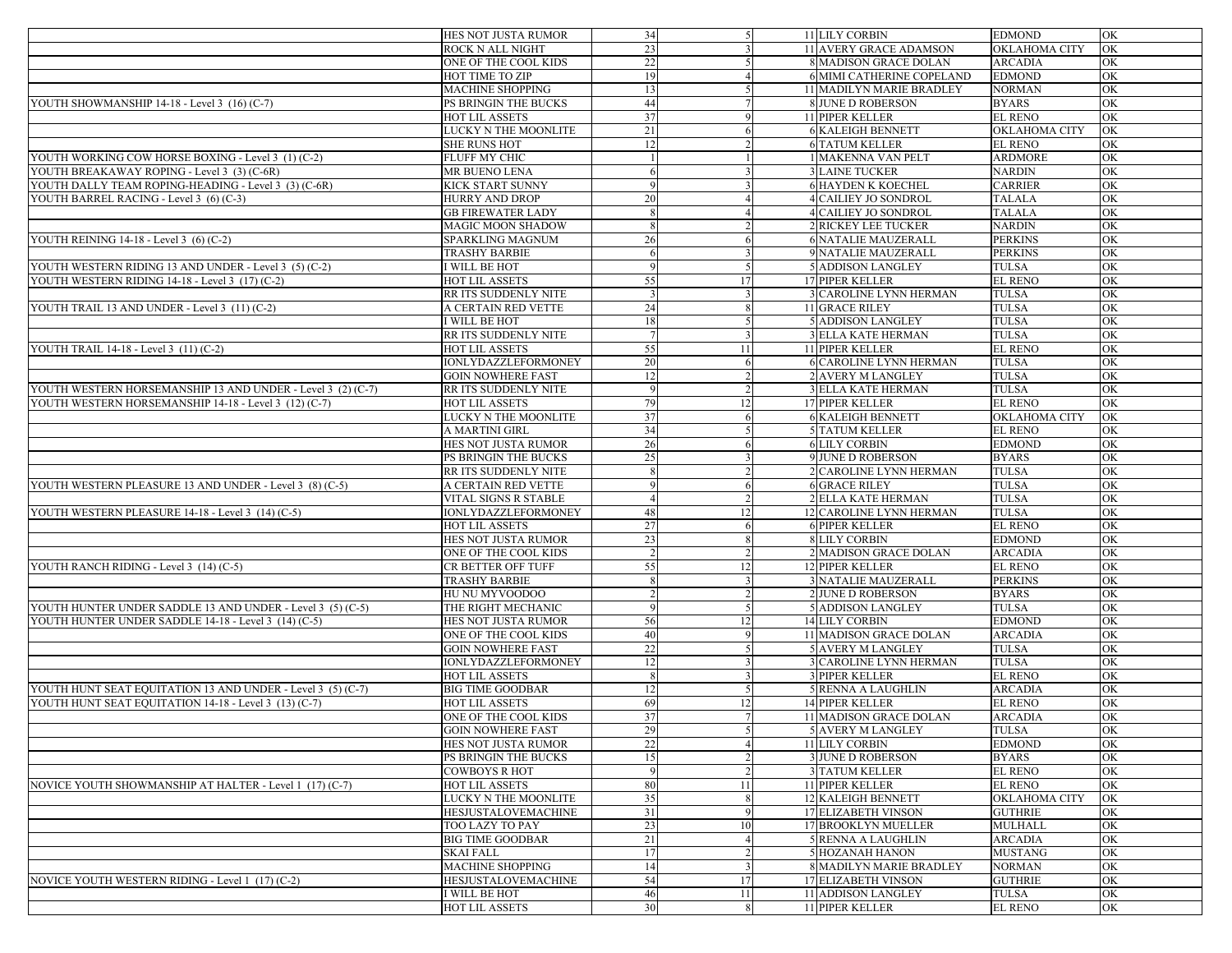|                                                             | HES NOT JUSTA RUMOR                    | 34         | .51 | 11 LILY CORBIN                             | <b>EDMOND</b>                   | OK       |
|-------------------------------------------------------------|----------------------------------------|------------|-----|--------------------------------------------|---------------------------------|----------|
|                                                             | ROCK N ALL NIGHT                       | 23         |     | 11 AVERY GRACE ADAMSON                     | OKLAHOMA CITY                   | OK       |
|                                                             | ONE OF THE COOL KIDS                   | 22         |     | 8 MADISON GRACE DOLAN                      | <b>ARCADIA</b>                  | OK       |
|                                                             | HOT TIME TO ZIP                        | 19         |     | <b>6 MIMI CATHERINE COPELAND</b>           | <b>EDMOND</b>                   | OK       |
|                                                             | MACHINE SHOPPING                       | 13         |     | 11 MADILYN MARIE BRADLEY                   | <b>NORMAN</b>                   | OK       |
| YOUTH SHOWMANSHIP 14-18 - Level 3 (16) (C-7)                | PS BRINGIN THE BUCKS                   | 44         |     | <b>8 JUNE D ROBERSON</b>                   | <b>BYARS</b>                    | OK       |
|                                                             | HOT LIL ASSETS                         | 37         |     | <b>11 PIPER KELLER</b>                     | <b>EL RENO</b>                  | OK       |
|                                                             | LUCKY N THE MOONLITE                   | 21         |     | <b>6 KALEIGH BENNETT</b>                   | OKLAHOMA CITY                   | OK       |
|                                                             | SHE RUNS HOT                           | 12         |     | <b>6 TATUM KELLER</b>                      | <b>EL RENO</b>                  | OK       |
| YOUTH WORKING COW HORSE BOXING - Level 3 (1) (C-2)          | FLUFF MY CHIC                          |            |     | 1 MAKENNA VAN PELT                         | <b>ARDMORE</b>                  | OK       |
| YOUTH BREAKAWAY ROPING - Level 3 (3) (C-6R)                 | MR BUENO LENA                          |            |     | <b>3 LAINE TUCKER</b>                      | <b>NARDIN</b>                   | OK       |
| YOUTH DALLY TEAM ROPING-HEADING - Level 3 (3) (C-6R)        | KICK START SUNNY                       | $\Omega$   |     | <b>6 HAYDEN K KOECHEL</b>                  | <b>CARRIER</b>                  | OK       |
| YOUTH BARREL RACING - Level 3 (6) (C-3)                     | <b>HURRY AND DROP</b>                  | 20         |     | <b>4 CAILIEY JO SONDROL</b>                | <b>TALALA</b>                   | OK       |
|                                                             | <b>GB FIREWATER LADY</b>               |            |     | 4 CAILIEY JO SONDROL                       | <b>TALALA</b>                   | OK       |
|                                                             | <b>MAGIC MOON SHADOW</b>               |            |     | <b>2 RICKEY LEE TUCKER</b>                 | <b>NARDIN</b>                   | OK       |
| YOUTH REINING 14-18 - Level 3 (6) (C-2)                     | SPARKLING MAGNUM                       | 26         |     | <b>6 NATALIE MAUZERALL</b>                 | <b>PERKINS</b>                  | OK       |
|                                                             | TRASHY BARBIE                          | $\epsilon$ |     | 9 NATALIE MAUZERALL                        | <b>PERKINS</b>                  | OK       |
| YOUTH WESTERN RIDING 13 AND UNDER - Level 3 (5) (C-2)       | I WILL BE HOT                          | $\epsilon$ |     | <b>5 ADDISON LANGLEY</b>                   | <b>TULSA</b>                    | OK       |
| YOUTH WESTERN RIDING 14-18 - Level 3 (17) (C-2)             | HOT LIL ASSETS                         | 55         | 17  | <b>17 PIPER KELLER</b>                     | <b>EL RENO</b>                  | OK       |
|                                                             | RR ITS SUDDENLY NITE                   |            |     | 3 CAROLINE LYNN HERMAN                     | <b>TULSA</b>                    | OK       |
| YOUTH TRAIL 13 AND UNDER - Level 3 (11) (C-2)               | A CERTAIN RED VETTE                    | 24         |     | 11 GRACE RILEY                             | <b>TULSA</b>                    | OK       |
|                                                             | WILL BE HOT                            | 18         |     | 5 ADDISON LANGLEY                          | <b>TULSA</b>                    | OK       |
|                                                             | RR ITS SUDDENLY NITE                   |            |     | <b>3 ELLA KATE HERMAN</b>                  | <b>TULSA</b>                    | OK       |
| YOUTH TRAIL 14-18 - Level 3 (11) (C-2)                      | HOT LIL ASSETS                         | 55         | 11  | <b>11 PIPER KELLER</b>                     | <b>EL RENO</b>                  | OK       |
|                                                             | IONLYDAZZLEFORMONEY                    | 20         |     | <b>6 CAROLINE LYNN HERMAN</b>              | <b>TULSA</b>                    | OK       |
|                                                             | <b>GOIN NOWHERE FAST</b>               | 12         |     | 2 AVERY M LANGLEY                          | <b>TULSA</b>                    | OK       |
| YOUTH WESTERN HORSEMANSHIP 13 AND UNDER - Level 3 (2) (C-7) | RR ITS SUDDENLY NITE                   |            |     | <b>3 ELLA KATE HERMAN</b>                  | <b>TULSA</b>                    | OK       |
| YOUTH WESTERN HORSEMANSHIP 14-18 - Level 3 (12) (C-7)       | HOT LIL ASSETS                         | 79         | 12  | 17 PIPER KELLER                            | <b>EL RENO</b>                  | OK       |
|                                                             | LUCKY N THE MOONLITE                   | 37         |     | <b>6 KALEIGH BENNETT</b>                   | OKLAHOMA CITY                   | OK       |
|                                                             | A MARTINI GIRL                         | 34         |     | <b>5 TATUM KELLER</b>                      | <b>EL RENO</b>                  | OK       |
|                                                             | HES NOT JUSTA RUMOR                    | 26         |     | <b>6 LILY CORBIN</b>                       | <b>EDMOND</b>                   | OK       |
|                                                             | PS BRINGIN THE BUCKS                   | 25         |     | 9 JUNE D ROBERSON                          | <b>BYARS</b>                    | OK       |
|                                                             | RR ITS SUDDENLY NITE                   |            |     | 2 CAROLINE LYNN HERMAN                     | <b>TULSA</b>                    | OK       |
| YOUTH WESTERN PLEASURE 13 AND UNDER - Level 3 (8) (C-5)     | A CERTAIN RED VETTE                    |            |     | <b>6 GRACE RILEY</b>                       | <b>TULSA</b>                    | OK       |
|                                                             | VITAL SIGNS R STABLE                   |            |     | 2 ELLA KATE HERMAN                         | <b>TULSA</b>                    | OK       |
| YOUTH WESTERN PLEASURE 14-18 - Level 3 (14) (C-5)           | IONLYDAZZLEFORMONEY                    | 48         | 12  | 12 CAROLINE LYNN HERMAN                    | <b>TULSA</b>                    | OK       |
|                                                             | HOT LIL ASSETS                         | 27         |     | <b>6 PIPER KELLER</b>                      | <b>EL RENO</b>                  | OK       |
|                                                             | HES NOT JUSTA RUMOR                    | 23         |     | 8 LILY CORBIN                              | <b>EDMOND</b>                   | OK       |
|                                                             | ONE OF THE COOL KIDS                   |            |     | 2 MADISON GRACE DOLAN                      | <b>ARCADIA</b>                  | OK       |
| YOUTH RANCH RIDING - Level 3 (14) (C-5)                     | CR BETTER OFF TUFF                     | 55         | 12  | 12 PIPER KELLER                            | <b>EL RENO</b>                  | OK       |
|                                                             | TRASHY BARBIE                          |            |     | <b>3 NATALIE MAUZERALL</b>                 | <b>PERKINS</b>                  | OK       |
|                                                             | HU NU MYVOODOO                         |            |     | 2 JUNE D ROBERSON                          | <b>BYARS</b>                    | OK       |
| YOUTH HUNTER UNDER SADDLE 13 AND UNDER - Level 3 (5) (C-5)  | THE RIGHT MECHANIC                     |            |     | <b>5 ADDISON LANGLEY</b>                   | <b>TULSA</b>                    | OK       |
| YOUTH HUNTER UNDER SADDLE 14-18 - Level 3 (14) (C-5)        | HES NOT JUSTA RUMOR                    | 56         | 12  | 14 LILY CORBIN                             | <b>EDMOND</b>                   | OK       |
|                                                             | ONE OF THE COOL KIDS                   | 40         |     | 11 MADISON GRACE DOLAN                     | <b>ARCADIA</b>                  | OK       |
|                                                             | <b>GOIN NOWHERE FAST</b>               | 22         |     | <b>5 AVERY M LANGLEY</b>                   | <b>TULSA</b>                    | OK       |
|                                                             | IONLYDAZZLEFORMONEY                    | 12         |     | 3 CAROLINE LYNN HERMAN                     | <b>TULSA</b>                    | OK       |
|                                                             | HOT LIL ASSETS                         |            |     | <b>3 PIPER KELLER</b>                      | <b>EL RENO</b>                  | OK       |
| YOUTH HUNT SEAT EQUITATION 13 AND UNDER - Level 3 (5) (C-7) | <b>BIG TIME GOODBAR</b>                | 12         |     | <b>5 RENNA A LAUGHLIN</b>                  | <b>ARCADIA</b>                  | OK       |
| YOUTH HUNT SEAT EQUITATION 14-18 - Level 3 (13) (C-7)       | HOT LIL ASSETS                         | 69         | 12  | <b>14 PIPER KELLER</b>                     | <b>EL RENO</b>                  | OK       |
|                                                             | ONE OF THE COOL KIDS                   | 37         |     | 11 MADISON GRACE DOLAN                     | <b>ARCADIA</b>                  | OK       |
|                                                             | GOIN NOWHERE FAST                      | 29         |     | 5 AVERY M LANGLEY                          | TULSA                           | OК       |
|                                                             | HES NOT JUSTA RUMOR                    | 22         |     | 11 LILY CORBIN<br><b>3 JUNE D ROBERSON</b> | <b>EDMOND</b>                   | OK       |
|                                                             | PS BRINGIN THE BUCKS                   | 15         |     | <b>3 TATUM KELLER</b>                      | <b>BYARS</b>                    | OK<br>OK |
| NOVICE YOUTH SHOWMANSHIP AT HALTER - Level 1 (17) (C-7)     | COWBOYS R HOT                          |            |     | <b>11 PIPER KELLER</b>                     | <b>EL RENO</b>                  | OK       |
|                                                             | HOT LIL ASSETS<br>LUCKY N THE MOONLITE | 80<br>35   | 11  | <b>12 KALEIGH BENNETT</b>                  | <b>EL RENO</b><br>OKLAHOMA CITY | OK       |
|                                                             | HESJUSTALOVEMACHINE                    | 31         |     | <b>17 ELIZABETH VINSON</b>                 | <b>GUTHRIE</b>                  | OK       |
|                                                             | TOO LAZY TO PAY                        | 23         | 10  | <b>17 BROOKLYN MUELLER</b>                 | <b>MULHALL</b>                  | OK       |
|                                                             | <b>BIG TIME GOODBAR</b>                | 21         |     | <b>5 RENNA A LAUGHLIN</b>                  | <b>ARCADIA</b>                  | OK       |
|                                                             | SKAI FALL                              | 17         |     | 5 HOZANAH HANON                            | <b>MUSTANG</b>                  | OK       |
|                                                             | <b>MACHINE SHOPPING</b>                | 14         |     | 8 MADILYN MARIE BRADLEY                    | <b>NORMAN</b>                   | OK       |
| NOVICE YOUTH WESTERN RIDING - Level 1 (17) (C-2)            | <b>HESJUSTALOVEMACHINE</b>             | 54         | 17  | <b>17 ELIZABETH VINSON</b>                 | <b>GUTHRIE</b>                  | OK       |
|                                                             | I WILL BE HOT                          | 46         | 11  | 11 ADDISON LANGLEY                         | <b>TULSA</b>                    | OK       |
|                                                             | HOT LIL ASSETS                         | 30         |     | <b>11 PIPER KELLER</b>                     | <b>EL RENO</b>                  | OK       |
|                                                             |                                        |            |     |                                            |                                 |          |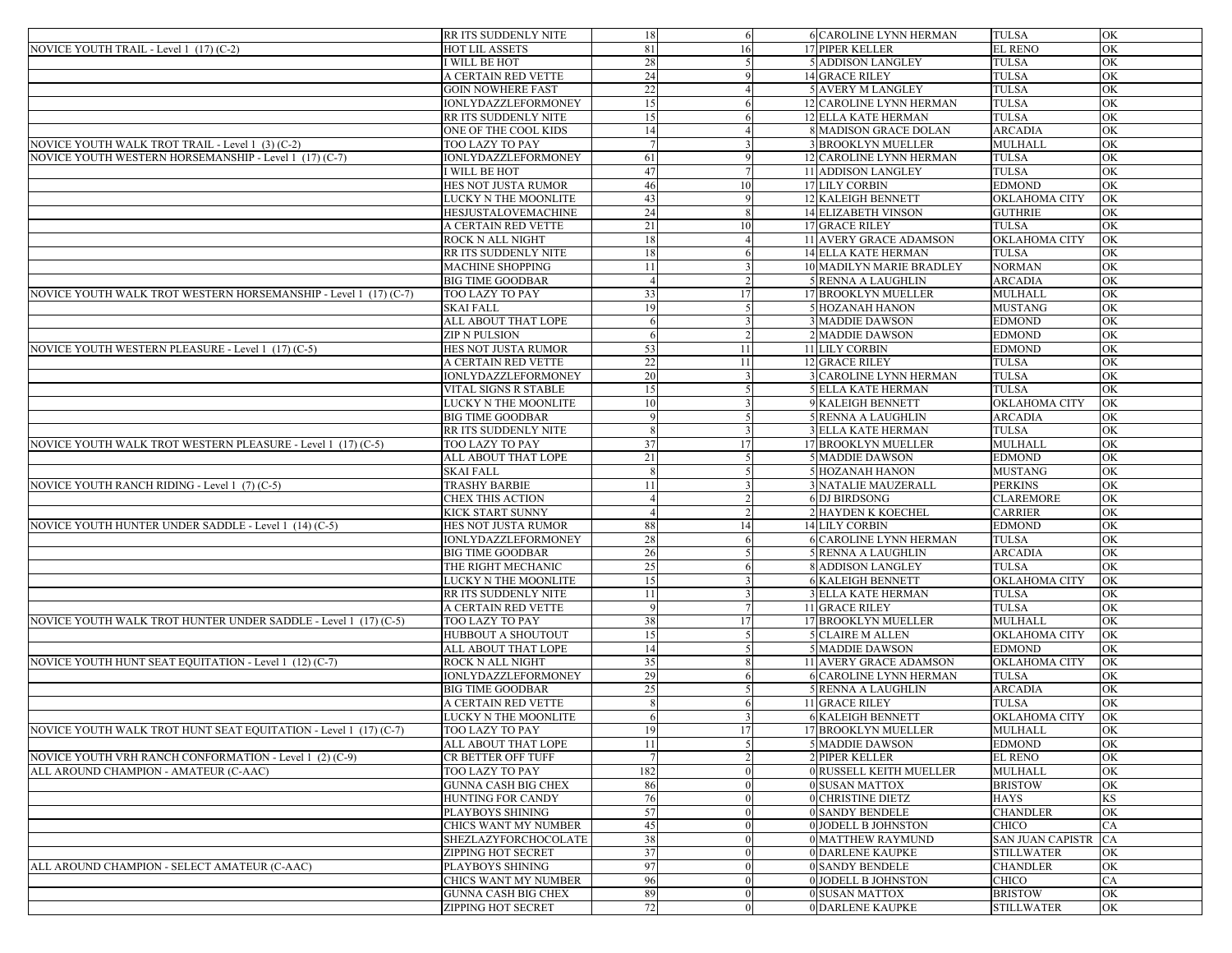|                                                                  | RR ITS SUDDENLY NITE       | -18 | -6             | 6 CAROLINE LYNN HERMAN         | <b>TULSA</b>            | OK        |
|------------------------------------------------------------------|----------------------------|-----|----------------|--------------------------------|-------------------------|-----------|
| NOVICE YOUTH TRAIL - Level 1 (17) (C-2)                          | HOT LIL ASSETS             | 81  | 16             | <b>17 PIPER KELLER</b>         | <b>EL RENO</b>          | OK        |
|                                                                  | I WILL BE HOT              | 28  |                | <b>5 ADDISON LANGLEY</b>       | <b>TULSA</b>            | OK        |
|                                                                  | A CERTAIN RED VETTE        | 24  |                | 14 GRACE RILEY                 | <b>TULSA</b>            | OK        |
|                                                                  | <b>GOIN NOWHERE FAST</b>   | 22  |                | <b>5 AVERY M LANGLEY</b>       | <b>TULSA</b>            | OK        |
|                                                                  | IONLYDAZZLEFORMONEY        | 15  |                | 12 CAROLINE LYNN HERMAN        | <b>TULSA</b>            | OK        |
|                                                                  | RR ITS SUDDENLY NITE       | 15  |                | <b>12 ELLA KATE HERMAN</b>     | <b>TULSA</b>            | OK        |
|                                                                  | ONE OF THE COOL KIDS       | 14  |                | 8 MADISON GRACE DOLAN          | <b>ARCADIA</b>          | OK        |
| NOVICE YOUTH WALK TROT TRAIL - Level 1 (3) (C-2)                 | TOO LAZY TO PAY            |     |                | <b>3 BROOKLYN MUELLER</b>      | <b>MULHALL</b>          | OK        |
| NOVICE YOUTH WESTERN HORSEMANSHIP - Level 1 (17) (C-7)           | IONLYDAZZLEFORMONEY        | 61  |                | <b>12 CAROLINE LYNN HERMAN</b> | <b>TULSA</b>            | OK        |
|                                                                  | <b>WILL BE HOT</b>         | 47  |                | 11 ADDISON LANGLEY             | <b>TULSA</b>            | OK        |
|                                                                  | HES NOT JUSTA RUMOR        | 46  |                |                                | <b>EDMOND</b>           | OK        |
|                                                                  |                            |     | 10             | 17 LILY CORBIN                 |                         |           |
|                                                                  | LUCKY N THE MOONLITE       | 43  |                | 12 KALEIGH BENNETT             | <b>OKLAHOMA CITY</b>    | OK        |
|                                                                  | HESJUSTALOVEMACHINE        | 24  |                | <b>14 ELIZABETH VINSON</b>     | <b>GUTHRIE</b>          | OK        |
|                                                                  | A CERTAIN RED VETTE        | 21  | 10             | 17 GRACE RILEY                 | <b>TULSA</b>            | OK        |
|                                                                  | ROCK N ALL NIGHT           | 18  |                | 11 AVERY GRACE ADAMSON         | <b>OKLAHOMA CITY</b>    | OK        |
|                                                                  | RR ITS SUDDENLY NITE       | 18  |                | <b>14 ELLA KATE HERMAN</b>     | <b>TULSA</b>            | OK        |
|                                                                  | MACHINE SHOPPING           | 11  |                | 10 MADILYN MARIE BRADLEY       | <b>NORMAN</b>           | OK        |
|                                                                  | BIG TIME GOODBAR           |     |                | 5 RENNA A LAUGHLIN             | <b>ARCADIA</b>          | OK        |
| NOVICE YOUTH WALK TROT WESTERN HORSEMANSHIP - Level 1 (17) (C-7) | TOO LAZY TO PAY            | 33  | 17             | 17 BROOKLYN MUELLER            | MULHALL                 | OK        |
|                                                                  | SKAI FALL                  | 19  |                | <b>5 HOZANAH HANON</b>         | <b>MUSTANG</b>          | OK        |
|                                                                  | ALL ABOUT THAT LOPE        |     |                | <b>3 MADDIE DAWSON</b>         | <b>EDMOND</b>           | OK        |
|                                                                  | ZIP N PULSION              | -6  |                | <b>2 MADDIE DAWSON</b>         | <b>EDMOND</b>           | OK        |
| NOVICE YOUTH WESTERN PLEASURE - Level 1 (17) (C-5)               | HES NOT JUSTA RUMOR        | 53  | 11             | 11 LILY CORBIN                 | <b>EDMOND</b>           | OK        |
|                                                                  | A CERTAIN RED VETTE        | 22  | 11             | 12 GRACE RILEY                 | <b>TULSA</b>            | OK        |
|                                                                  | IONLYDAZZLEFORMONEY        | 20  |                | 3 CAROLINE LYNN HERMAN         | <b>TULSA</b>            | OK        |
|                                                                  | VITAL SIGNS R STABLE       | 15  |                | <b>5 ELLA KATE HERMAN</b>      | <b>TULSA</b>            | OK        |
|                                                                  | LUCKY N THE MOONLITE       | 10  |                | 9 KALEIGH BENNETT              | OKLAHOMA CITY           | OK        |
|                                                                  | <b>BIG TIME GOODBAR</b>    |     |                | 5 RENNA A LAUGHLIN             | <b>ARCADIA</b>          | OK        |
|                                                                  | RR ITS SUDDENLY NITE       |     |                | <b>3 ELLA KATE HERMAN</b>      | <b>TULSA</b>            | OK        |
| NOVICE YOUTH WALK TROT WESTERN PLEASURE - Level 1 (17) (C-5)     | TOO LAZY TO PAY            | 37  | 17             | <b>17 BROOKLYN MUELLER</b>     | MULHALL                 | OK        |
|                                                                  | ALL ABOUT THAT LOPE        | 21  |                | <b>5 MADDIE DAWSON</b>         | <b>EDMOND</b>           | OK        |
|                                                                  | SKAI FALL                  | -8  |                | <b>5 HOZANAH HANON</b>         | <b>MUSTANG</b>          | OK        |
| NOVICE YOUTH RANCH RIDING - Level 1 (7) (C-5)                    | TRASHY BARBIE              | 11  |                | <b>3 NATALIE MAUZERALL</b>     | <b>PERKINS</b>          | OK        |
|                                                                  | CHEX THIS ACTION           |     |                | 6 DJ BIRDSONG                  | <b>CLAREMORE</b>        | OK        |
|                                                                  | KICK START SUNNY           |     |                | 2 HAYDEN K KOECHEL             | <b>CARRIER</b>          | OK        |
| NOVICE YOUTH HUNTER UNDER SADDLE - Level 1 (14) (C-5)            | HES NOT JUSTA RUMOR        | 88  | 14             | 14 LILY CORBIN                 | <b>EDMOND</b>           | OK        |
|                                                                  | IONLYDAZZLEFORMONEY        | 28  |                | <b>6 CAROLINE LYNN HERMAN</b>  | <b>TULSA</b>            | OK        |
|                                                                  | <b>BIG TIME GOODBAR</b>    | 26  |                | 5 RENNA A LAUGHLIN             | <b>ARCADIA</b>          | OK        |
|                                                                  | THE RIGHT MECHANIC         | 25  |                | <b>8 ADDISON LANGLEY</b>       | <b>TULSA</b>            | OK        |
|                                                                  | LUCKY N THE MOONLITE       | 15  |                | <b>6 KALEIGH BENNETT</b>       | <b>OKLAHOMA CITY</b>    | OK        |
|                                                                  |                            |     |                |                                |                         |           |
|                                                                  | RR ITS SUDDENLY NITE       | 11  |                | <b>3 ELLA KATE HERMAN</b>      | <b>TULSA</b>            | OK        |
|                                                                  | A CERTAIN RED VETTE        |     |                | 11 GRACE RILEY                 | <b>TULSA</b>            | OK        |
| NOVICE YOUTH WALK TROT HUNTER UNDER SADDLE - Level 1 (17) (C-5)  | TOO LAZY TO PAY            | 38  | 17             | <b>17 BROOKLYN MUELLER</b>     | <b>MULHALL</b>          | OK        |
|                                                                  | HUBBOUT A SHOUTOUT         | 15  |                | <b>5 CLAIRE M ALLEN</b>        | <b>OKLAHOMA CITY</b>    | OK        |
|                                                                  | ALL ABOUT THAT LOPE        | 14  |                | <b>5 MADDIE DAWSON</b>         | <b>EDMOND</b>           | OK        |
| NOVICE YOUTH HUNT SEAT EQUITATION - Level 1 (12) (C-7)           | ROCK N ALL NIGHT           | 35  |                | <b>11 AVERY GRACE ADAMSON</b>  | <b>OKLAHOMA CITY</b>    | OK        |
|                                                                  | IONLYDAZZLEFORMONEY        | 29  |                | <b>6 CAROLINE LYNN HERMAN</b>  | <b>TULSA</b>            | OK        |
|                                                                  | BIG TIME GOODBAR           | 25  |                | 5 RENNA A LAUGHLIN             | <b>ARCADIA</b>          | OK        |
|                                                                  | A CERTAIN RED VETTE        |     |                | 11 GRACE RILEY                 | <b>TULSA</b>            | OK        |
|                                                                  | LUCKY N THE MOONLITE       | -6  |                | <b>6 KALEIGH BENNETT</b>       | <b>OKLAHOMA CITY</b>    | OK        |
| NOVICE YOUTH WALK TROT HUNT SEAT EQUITATION - Level 1 (17) (C-7) | TOO LAZY TO PAY            | -19 | 17             | <b>T/BROOKLYN MUELLER</b>      | MULHALL                 | OK.       |
|                                                                  | ALL ABOUT THAT LOPE        | 11  | 5              | <b>5 MADDIE DAWSON</b>         | EDMOND                  | OK        |
| NOVICE YOUTH VRH RANCH CONFORMATION - Level 1 (2) (C-9)          | CR BETTER OFF TUFF         |     |                | 2 PIPER KELLER                 | EL RENO                 | OK        |
| ALL AROUND CHAMPION - AMATEUR (C-AAC)                            | TOO LAZY TO PAY            | 182 |                | 0 RUSSELL KEITH MUELLER        | <b>MULHALL</b>          | OK        |
|                                                                  | GUNNA CASH BIG CHEX        | 86  |                | 0 SUSAN MATTOX                 | <b>BRISTOW</b>          | OK        |
|                                                                  | <b>HUNTING FOR CANDY</b>   | 76  |                | 0 CHRISTINE DIETZ              | <b>HAYS</b>             | KS        |
|                                                                  | PLAYBOYS SHINING           | 57  |                | 0 SANDY BENDELE                | <b>CHANDLER</b>         | OK        |
|                                                                  | CHICS WANT MY NUMBER       | 45  |                | 0 JODELL B JOHNSTON            | <b>CHICO</b>            | <b>CA</b> |
|                                                                  | SHEZLAZYFORCHOCOLATE       | 38  |                | 0 MATTHEW RAYMUND              | <b>SAN JUAN CAPISTR</b> | CA        |
|                                                                  | ZIPPING HOT SECRET         | 37  |                | <b>0 DARLENE KAUPKE</b>        | <b>STILLWATER</b>       | OK        |
| ALL AROUND CHAMPION - SELECT AMATEUR (C-AAC)                     | PLAYBOYS SHINING           | 97  |                | 0 SANDY BENDELE                | <b>CHANDLER</b>         | OK        |
|                                                                  | CHICS WANT MY NUMBER       | 96  |                | 0 JODELL B JOHNSTON            | CHICO                   | CA        |
|                                                                  | <b>GUNNA CASH BIG CHEX</b> | 89  |                | 0 SUSAN MATTOX                 | <b>BRISTOW</b>          | OK        |
|                                                                  | ZIPPING HOT SECRET         | 72  | $\overline{0}$ | <b>0 DARLENE KAUPKE</b>        | <b>STILLWATER</b>       | OK        |
|                                                                  |                            |     |                |                                |                         |           |